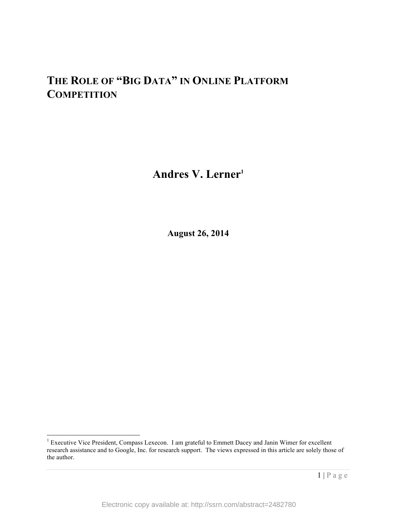# **THE ROLE OF "BIG DATA" IN ONLINE PLATFORM COMPETITION**

Andres V. Lerner<sup>1</sup>

**August 26, 2014**

<sup>&</sup>lt;sup>1</sup> Executive Vice President, Compass Lexecon. I am grateful to Emmett Dacey and Janin Wimer for excellent research assistance and to Google, Inc. for research support. The views expressed in this article are solely those of the author.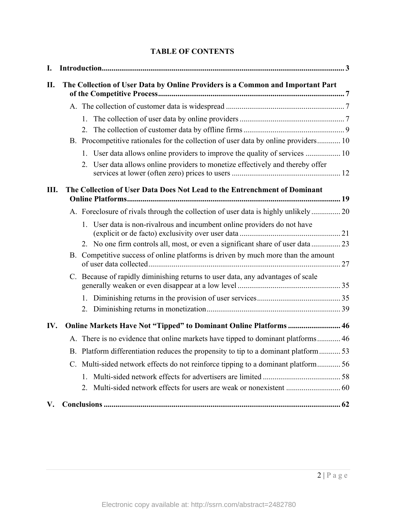# **TABLE OF CONTENTS**

| I.  |                                                                                |                                                                                     |  |
|-----|--------------------------------------------------------------------------------|-------------------------------------------------------------------------------------|--|
| П.  | The Collection of User Data by Online Providers is a Common and Important Part |                                                                                     |  |
|     |                                                                                |                                                                                     |  |
|     |                                                                                |                                                                                     |  |
|     |                                                                                |                                                                                     |  |
|     |                                                                                | B. Procompetitive rationales for the collection of user data by online providers 10 |  |
|     |                                                                                | 1. User data allows online providers to improve the quality of services  10         |  |
|     |                                                                                | 2. User data allows online providers to monetize effectively and thereby offer      |  |
| Ш.  | The Collection of User Data Does Not Lead to the Entrenchment of Dominant      |                                                                                     |  |
|     |                                                                                | A. Foreclosure of rivals through the collection of user data is highly unlikely 20  |  |
|     |                                                                                | 1. User data is non-rivalrous and incumbent online providers do not have            |  |
|     |                                                                                |                                                                                     |  |
|     |                                                                                | B. Competitive success of online platforms is driven by much more than the amount   |  |
|     |                                                                                | C. Because of rapidly diminishing returns to user data, any advantages of scale     |  |
|     |                                                                                |                                                                                     |  |
|     |                                                                                |                                                                                     |  |
| IV. | Online Markets Have Not "Tipped" to Dominant Online Platforms  46              |                                                                                     |  |
|     |                                                                                |                                                                                     |  |
|     |                                                                                | B. Platform differentiation reduces the propensity to tip to a dominant platform53  |  |
|     |                                                                                | C. Multi-sided network effects do not reinforce tipping to a dominant platform 56   |  |
|     |                                                                                |                                                                                     |  |
|     |                                                                                |                                                                                     |  |
| V.  |                                                                                |                                                                                     |  |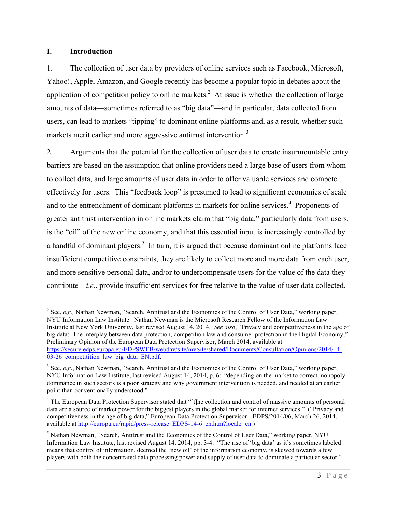#### **I. Introduction**

1. The collection of user data by providers of online services such as Facebook, Microsoft, Yahoo!, Apple, Amazon, and Google recently has become a popular topic in debates about the application of competition policy to online markets.<sup>2</sup> At issue is whether the collection of large amounts of data—sometimes referred to as "big data"—and in particular, data collected from users, can lead to markets "tipping" to dominant online platforms and, as a result, whether such markets merit earlier and more aggressive antitrust intervention.<sup>3</sup>

2. Arguments that the potential for the collection of user data to create insurmountable entry barriers are based on the assumption that online providers need a large base of users from whom to collect data, and large amounts of user data in order to offer valuable services and compete effectively for users. This "feedback loop" is presumed to lead to significant economies of scale and to the entrenchment of dominant platforms in markets for online services.<sup>4</sup> Proponents of greater antitrust intervention in online markets claim that "big data," particularly data from users, is the "oil" of the new online economy, and that this essential input is increasingly controlled by a handful of dominant players.<sup>5</sup> In turn, it is argued that because dominant online platforms face insufficient competitive constraints, they are likely to collect more and more data from each user, and more sensitive personal data, and/or to undercompensate users for the value of the data they contribute—*i.e*., provide insufficient services for free relative to the value of user data collected.

<sup>&</sup>lt;sup>2</sup> See, *e.g.*, Nathan Newman, "Search, Antitrust and the Economics of the Control of User Data," working paper, NYU Information Law Institute. Nathan Newman is the Microsoft Research Fellow of the Information Law Institute at New York University, last revised August 14, 2014. *See also*, "Privacy and competitiveness in the age of big data: The interplay between data protection, competition law and consumer protection in the Digital Economy," Preliminary Opinion of the European Data Protection Supervisor, March 2014, available at https://secure.edps.europa.eu/EDPSWEB/webdav/site/mySite/shared/Documents/Consultation/Opinions/2014/14- 03-26 competitition law big data EN.pdf.

<sup>3</sup> See, *e.g*., Nathan Newman, "Search, Antitrust and the Economics of the Control of User Data," working paper, NYU Information Law Institute, last revised August 14, 2014, p. 6: "depending on the market to correct monopoly dominance in such sectors is a poor strategy and why government intervention is needed, and needed at an earlier point than conventionally understood."

<sup>&</sup>lt;sup>4</sup> The European Data Protection Supervisor stated that "[t]he collection and control of massive amounts of personal data are a source of market power for the biggest players in the global market for internet services." ("Privacy and competitiveness in the age of big data," European Data Protection Supervisor - EDPS/2014/06, March 26, 2014, available at http://europa.eu/rapid/press-release\_EDPS-14-6\_en.htm?locale=en.)

<sup>&</sup>lt;sup>5</sup> Nathan Newman, "Search, Antitrust and the Economics of the Control of User Data," working paper, NYU Information Law Institute, last revised August 14, 2014, pp. 3-4: "The rise of 'big data' as it's sometimes labeled means that control of information, deemed the 'new oil' of the information economy, is skewed towards a few players with both the concentrated data processing power and supply of user data to dominate a particular sector."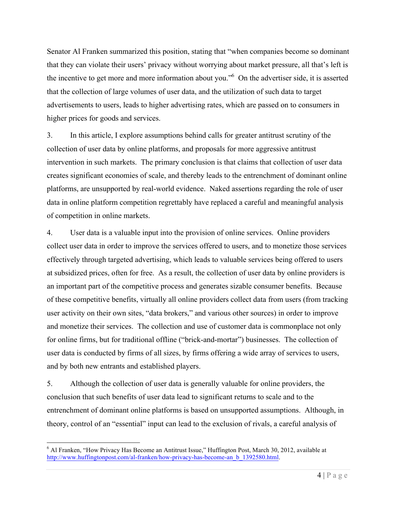Senator Al Franken summarized this position, stating that "when companies become so dominant that they can violate their users' privacy without worrying about market pressure, all that's left is the incentive to get more and more information about you."6 On the advertiser side, it is asserted that the collection of large volumes of user data, and the utilization of such data to target advertisements to users, leads to higher advertising rates, which are passed on to consumers in higher prices for goods and services.

3. In this article, I explore assumptions behind calls for greater antitrust scrutiny of the collection of user data by online platforms, and proposals for more aggressive antitrust intervention in such markets. The primary conclusion is that claims that collection of user data creates significant economies of scale, and thereby leads to the entrenchment of dominant online platforms, are unsupported by real-world evidence. Naked assertions regarding the role of user data in online platform competition regrettably have replaced a careful and meaningful analysis of competition in online markets.

4. User data is a valuable input into the provision of online services. Online providers collect user data in order to improve the services offered to users, and to monetize those services effectively through targeted advertising, which leads to valuable services being offered to users at subsidized prices, often for free. As a result, the collection of user data by online providers is an important part of the competitive process and generates sizable consumer benefits. Because of these competitive benefits, virtually all online providers collect data from users (from tracking user activity on their own sites, "data brokers," and various other sources) in order to improve and monetize their services. The collection and use of customer data is commonplace not only for online firms, but for traditional offline ("brick-and-mortar") businesses. The collection of user data is conducted by firms of all sizes, by firms offering a wide array of services to users, and by both new entrants and established players.

5. Although the collection of user data is generally valuable for online providers, the conclusion that such benefits of user data lead to significant returns to scale and to the entrenchment of dominant online platforms is based on unsupported assumptions. Although, in theory, control of an "essential" input can lead to the exclusion of rivals, a careful analysis of

 <sup>6</sup> Al Franken, "How Privacy Has Become an Antitrust Issue," Huffington Post, March 30, 2012, available at http://www.huffingtonpost.com/al-franken/how-privacy-has-become-an\_b\_1392580.html.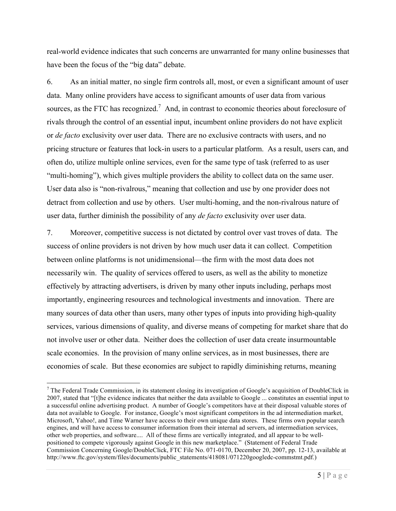real-world evidence indicates that such concerns are unwarranted for many online businesses that have been the focus of the "big data" debate.

6. As an initial matter, no single firm controls all, most, or even a significant amount of user data. Many online providers have access to significant amounts of user data from various sources, as the FTC has recognized.<sup>7</sup> And, in contrast to economic theories about foreclosure of rivals through the control of an essential input, incumbent online providers do not have explicit or *de facto* exclusivity over user data. There are no exclusive contracts with users, and no pricing structure or features that lock-in users to a particular platform. As a result, users can, and often do, utilize multiple online services, even for the same type of task (referred to as user "multi-homing"), which gives multiple providers the ability to collect data on the same user. User data also is "non-rivalrous," meaning that collection and use by one provider does not detract from collection and use by others. User multi-homing, and the non-rivalrous nature of user data, further diminish the possibility of any *de facto* exclusivity over user data.

7. Moreover, competitive success is not dictated by control over vast troves of data. The success of online providers is not driven by how much user data it can collect. Competition between online platforms is not unidimensional—the firm with the most data does not necessarily win. The quality of services offered to users, as well as the ability to monetize effectively by attracting advertisers, is driven by many other inputs including, perhaps most importantly, engineering resources and technological investments and innovation. There are many sources of data other than users, many other types of inputs into providing high-quality services, various dimensions of quality, and diverse means of competing for market share that do not involve user or other data. Neither does the collection of user data create insurmountable scale economies. In the provision of many online services, as in most businesses, there are economies of scale. But these economies are subject to rapidly diminishing returns, meaning

 $7$  The Federal Trade Commission, in its statement closing its investigation of Google's acquisition of DoubleClick in 2007, stated that "[t]he evidence indicates that neither the data available to Google ... constitutes an essential input to a successful online advertising product. A number of Google's competitors have at their disposal valuable stores of data not available to Google. For instance, Google's most significant competitors in the ad intermediation market, Microsoft, Yahoo!, and Time Warner have access to their own unique data stores. These firms own popular search engines, and will have access to consumer information from their internal ad servers, ad intermediation services, other web properties, and software.... All of these firms are vertically integrated, and all appear to be wellpositioned to compete vigorously against Google in this new marketplace." (Statement of Federal Trade Commission Concerning Google/DoubleClick, FTC File No. 071-0170, December 20, 2007, pp. 12-13, available at http://www.ftc.gov/system/files/documents/public\_statements/418081/071220googledc-commstmt.pdf.)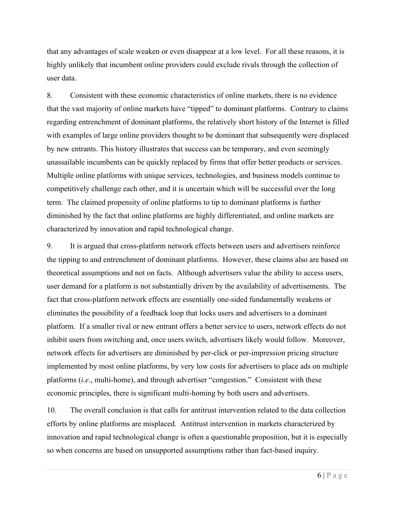that any advantages of scale weaken or even disappear at a low level. For all these reasons, it is highly unlikely that incumbent online providers could exclude rivals through the collection of user data.

8. Consistent with these economic characteristics of online markets, there is no evidence that the vast majority of online markets have "tipped" to dominant platforms. Contrary to claims regarding entrenchment of dominant platforms, the relatively short history of the Internet is filled with examples of large online providers thought to be dominant that subsequently were displaced by new entrants. This history illustrates that success can be temporary, and even seemingly unassailable incumbents can be quickly replaced by firms that offer better products or services. Multiple online platforms with unique services, technologies, and business models continue to competitively challenge each other, and it is uncertain which will be successful over the long term. The claimed propensity of online platforms to tip to dominant platforms is further diminished by the fact that online platforms are highly differentiated, and online markets are characterized by innovation and rapid technological change.

9. It is argued that cross-platform network effects between users and advertisers reinforce the tipping to and entrenchment of dominant platforms. However, these claims also are based on theoretical assumptions and not on facts. Although advertisers value the ability to access users, user demand for a platform is not substantially driven by the availability of advertisements. The fact that cross-platform network effects are essentially one-sided fundamentally weakens or eliminates the possibility of a feedback loop that locks users and advertisers to a dominant platform. If a smaller rival or new entrant offers a better service to users, network effects do not inhibit users from switching and, once users switch, advertisers likely would follow. Moreover, network effects for advertisers are diminished by per-click or per-impression pricing structure implemented by most online platforms, by very low costs for advertisers to place ads on multiple platforms (*i.e*., multi-home), and through advertiser "congestion." Consistent with these economic principles, there is significant multi-homing by both users and advertisers.

10. The overall conclusion is that calls for antitrust intervention related to the data collection efforts by online platforms are misplaced. Antitrust intervention in markets characterized by innovation and rapid technological change is often a questionable proposition, but it is especially so when concerns are based on unsupported assumptions rather than fact-based inquiry.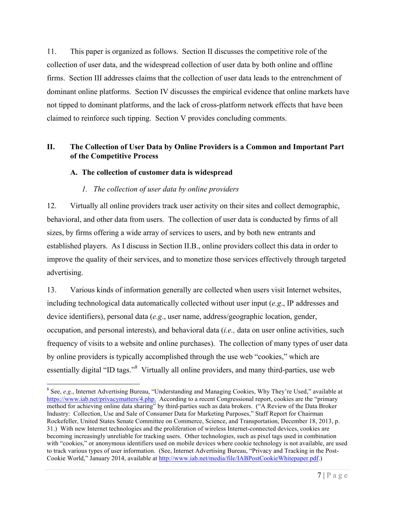11. This paper is organized as follows. Section II discusses the competitive role of the collection of user data, and the widespread collection of user data by both online and offline firms. Section III addresses claims that the collection of user data leads to the entrenchment of dominant online platforms. Section IV discusses the empirical evidence that online markets have not tipped to dominant platforms, and the lack of cross-platform network effects that have been claimed to reinforce such tipping. Section V provides concluding comments.

# **II. The Collection of User Data by Online Providers is a Common and Important Part of the Competitive Process**

## **A. The collection of customer data is widespread**

## *1. The collection of user data by online providers*

12. Virtually all online providers track user activity on their sites and collect demographic, behavioral, and other data from users. The collection of user data is conducted by firms of all sizes, by firms offering a wide array of services to users, and by both new entrants and established players. As I discuss in Section II.B., online providers collect this data in order to improve the quality of their services, and to monetize those services effectively through targeted advertising.

13. Various kinds of information generally are collected when users visit Internet websites, including technological data automatically collected without user input (*e.g*., IP addresses and device identifiers), personal data (*e.g*., user name, address/geographic location, gender, occupation, and personal interests), and behavioral data (*i.e.,* data on user online activities, such frequency of visits to a website and online purchases). The collection of many types of user data by online providers is typically accomplished through the use web "cookies," which are essentially digital "ID tags."<sup>8</sup> Virtually all online providers, and many third-parties, use web

 <sup>8</sup> See, *e.g*., Internet Advertising Bureau, "Understanding and Managing Cookies, Why They're Used," available at https://www.iab.net/privacymatters/4.php. According to a recent Congressional report, cookies are the "primary method for achieving online data sharing" by third-parties such as data brokers. ("A Review of the Data Broker Industry: Collection, Use and Sale of Consumer Data for Marketing Purposes," Staff Report for Chairman Rockefeller, United States Senate Committee on Commerce, Science, and Transportation, December 18, 2013, p. 31.) With new Internet technologies and the proliferation of wireless Internet-connected devices, cookies are becoming increasingly unreliable for tracking users. Other technologies, such as pixel tags used in combination with "cookies," or anonymous identifiers used on mobile devices where cookie technology is not available, are used to track various types of user information. (See, Internet Advertising Bureau, "Privacy and Tracking in the Post-Cookie World," January 2014, available at http://www.iab.net/media/file/IABPostCookieWhitepaper.pdf.)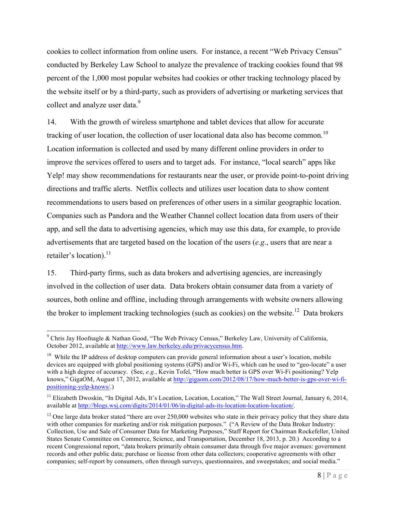cookies to collect information from online users. For instance, a recent "Web Privacy Census" conducted by Berkeley Law School to analyze the prevalence of tracking cookies found that 98 percent of the 1,000 most popular websites had cookies or other tracking technology placed by the website itself or by a third-party, such as providers of advertising or marketing services that collect and analyze user data.<sup>9</sup>

14. With the growth of wireless smartphone and tablet devices that allow for accurate tracking of user location, the collection of user locational data also has become common.<sup>10</sup> Location information is collected and used by many different online providers in order to improve the services offered to users and to target ads. For instance, "local search" apps like Yelp! may show recommendations for restaurants near the user, or provide point-to-point driving directions and traffic alerts. Netflix collects and utilizes user location data to show content recommendations to users based on preferences of other users in a similar geographic location. Companies such as Pandora and the Weather Channel collect location data from users of their app, and sell the data to advertising agencies, which may use this data, for example, to provide advertisements that are targeted based on the location of the users (*e.g*., users that are near a retailer's location).<sup>11</sup>

15. Third-party firms, such as data brokers and advertising agencies, are increasingly involved in the collection of user data. Data brokers obtain consumer data from a variety of sources, both online and offline, including through arrangements with website owners allowing the broker to implement tracking technologies (such as cookies) on the website.<sup>12</sup> Data brokers

 <sup>9</sup> Chris Jay Hoofnagle & Nathan Good, "The Web Privacy Census," Berkeley Law, University of California, October 2012, available at http://www.law.berkeley.edu/privacycensus.htm.

 $10$  While the IP address of desktop computers can provide general information about a user's location, mobile devices are equipped with global positioning systems (GPS) and/or Wi-Fi, which can be used to "geo-locate" a user with a high degree of accuracy. (See, *e.g.*, Kevin Tofel, "How much better is GPS over Wi-Fi positioning? Yelp knows," GigaOM, August 17, 2012, available at http://gigaom.com/2012/08/17/how-much-better-is-gps-over-wi-fipositioning-yelp-knows/.)

<sup>&</sup>lt;sup>11</sup> Elizabeth Dwoskin, "In Digital Ads, It's Location, Location, Location," The Wall Street Journal, January 6, 2014, available at http://blogs.wsj.com/digits/2014/01/06/in-digital-ads-its-location-location-location/.

<sup>&</sup>lt;sup>12</sup> One large data broker stated "there are over 250,000 websites who state in their privacy policy that they share data with other companies for marketing and/or risk mitigation purposes." ("A Review of the Data Broker Industry: Collection, Use and Sale of Consumer Data for Marketing Purposes," Staff Report for Chairman Rockefeller, United States Senate Committee on Commerce, Science, and Transportation, December 18, 2013, p. 20.) According to a recent Congressional report, "data brokers primarily obtain consumer data through five major avenues: government records and other public data; purchase or license from other data collectors; cooperative agreements with other companies; self-report by consumers, often through surveys, questionnaires, and sweepstakes; and social media."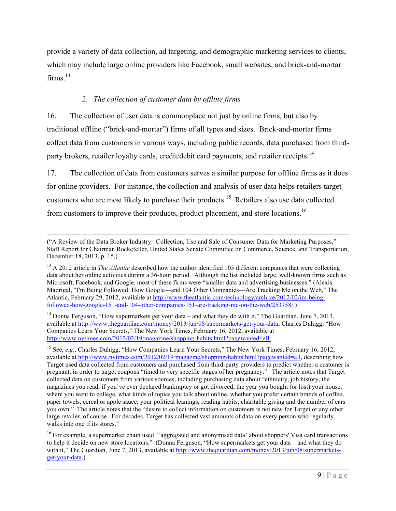provide a variety of data collection, ad targeting, and demographic marketing services to clients, which may include large online providers like Facebook, small websites, and brick-and-mortar firms. $13$ 

## *2. The collection of customer data by offline firms*

16. The collection of user data is commonplace not just by online firms, but also by traditional offline ("brick-and-mortar") firms of all types and sizes. Brick-and-mortar firms collect data from customers in various ways, including public records, data purchased from thirdparty brokers, retailer loyalty cards, credit/debit card payments, and retailer receipts.<sup>14</sup>

17. The collection of data from customers serves a similar purpose for offline firms as it does for online providers. For instance, the collection and analysis of user data helps retailers target customers who are most likely to purchase their products.15 Retailers also use data collected from customers to improve their products, product placement, and store locations.<sup>16</sup>

<sup>14</sup> Donna Ferguson, "How supermarkets get your data – and what they do with it," The Guardian, June 7, 2013, available at http://www.theguardian.com/money/2013/jun/08/supermarkets-get-your-data; Charles Duhigg, "How Companies Learn Your Secrets," The New York Times, February 16, 2012, available at http://www.nytimes.com/2012/02/19/magazine/shopping-habits.html?pagewanted=all.

 <sup>(&</sup>quot;A Review of the Data Broker Industry: Collection, Use and Sale of Consumer Data for Marketing Purposes," Staff Report for Chairman Rockefeller, United States Senate Committee on Commerce, Science, and Transportation, December 18, 2013, p. 15.)

<sup>&</sup>lt;sup>13</sup> A 2012 article in *The Atlantic* described how the author identified 105 different companies that were collecting data about her online activities during a 36-hour period. Although the list included large, well-known firms such as Microsoft, Facebook, and Google, most of these firms were "smaller data and advertising businesses." (Alexis Madrigal, "I'm Being Followed: How Google—and 104 Other Companies—Are Tracking Me on the Web," The Atlantic, February 29, 2012, available at http://www.theatlantic.com/technology/archive/2012/02/im-beingfollowed-how-google-151-and-104-other-companies-151-are-tracking-me-on-the-web/253758/.)

<sup>&</sup>lt;sup>15</sup> See, *e.g.*, Charles Duhigg, "How Companies Learn Your Secrets," The New York Times, February 16, 2012, available at http://www.nytimes.com/2012/02/19/magazine/shopping-habits.html?pagewanted=all, describing how Target used data collected from customers and purchased from third-party providers to predict whether a customer is pregnant, in order to target coupons "timed to very specific stages of her pregnancy." The article notes that Target collected data on customers from various sources, including purchasing data about "ethnicity, job history, the magazines you read, if you've ever declared bankruptcy or got divorced, the year you bought (or lost) your house, where you went to college, what kinds of topics you talk about online, whether you prefer certain brands of coffee, paper towels, cereal or apple sauce, your political leanings, reading habits, charitable giving and the number of cars you own." The article notes that the "desire to collect information on customers is not new for Target or any other large retailer, of course. For decades, Target has collected vast amounts of data on every person who regularly walks into one if its stores."

<sup>&</sup>lt;sup>16</sup> For example, a supermarket chain used "'aggregated and anonymised data' about shoppers' Visa card transactions to help it decide on new store locations." (Donna Ferguson, "How supermarkets get your data – and what they do with it," The Guardian, June 7, 2013, available at http://www.theguardian.com/money/2013/jun/08/supermarketsget-your-data.)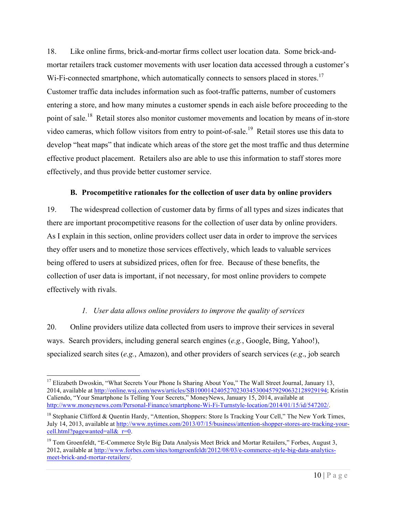18. Like online firms, brick-and-mortar firms collect user location data. Some brick-andmortar retailers track customer movements with user location data accessed through a customer's Wi-Fi-connected smartphone, which automatically connects to sensors placed in stores.<sup>17</sup> Customer traffic data includes information such as foot-traffic patterns, number of customers entering a store, and how many minutes a customer spends in each aisle before proceeding to the point of sale.<sup>18</sup> Retail stores also monitor customer movements and location by means of in-store video cameras, which follow visitors from entry to point-of-sale.<sup>19</sup> Retail stores use this data to develop "heat maps" that indicate which areas of the store get the most traffic and thus determine effective product placement. Retailers also are able to use this information to staff stores more effectively, and thus provide better customer service.

## **B. Procompetitive rationales for the collection of user data by online providers**

19. The widespread collection of customer data by firms of all types and sizes indicates that there are important procompetitive reasons for the collection of user data by online providers. As I explain in this section, online providers collect user data in order to improve the services they offer users and to monetize those services effectively, which leads to valuable services being offered to users at subsidized prices, often for free. Because of these benefits, the collection of user data is important, if not necessary, for most online providers to compete effectively with rivals.

# *1. User data allows online providers to improve the quality of services*

20. Online providers utilize data collected from users to improve their services in several ways. Search providers, including general search engines (*e.g.*, Google, Bing, Yahoo!), specialized search sites (*e.g.*, Amazon), and other providers of search services (*e.g*., job search

<sup>&</sup>lt;sup>17</sup> Elizabeth Dwoskin, "What Secrets Your Phone Is Sharing About You," The Wall Street Journal, January 13, 2014, available at http://online.wsj.com/news/articles/SB10001424052702303453004579290632128929194; Kristin Caliendo, "Your Smartphone Is Telling Your Secrets," MoneyNews, January 15, 2014, available at http://www.moneynews.com/Personal-Finance/smartphone-Wi-Fi-Turnstyle-location/2014/01/15/id/547202/.

<sup>&</sup>lt;sup>18</sup> Stephanie Clifford & Quentin Hardy, "Attention, Shoppers: Store Is Tracking Your Cell," The New York Times, July 14, 2013, available at http://www.nytimes.com/2013/07/15/business/attention-shopper-stores-are-tracking-yourcell.html?pagewanted=all& $r=0$ .

<sup>&</sup>lt;sup>19</sup> Tom Groenfeldt, "E-Commerce Style Big Data Analysis Meet Brick and Mortar Retailers," Forbes, August 3, 2012, available at http://www.forbes.com/sites/tomgroenfeldt/2012/08/03/e-commerce-style-big-data-analyticsmeet-brick-and-mortar-retailers/.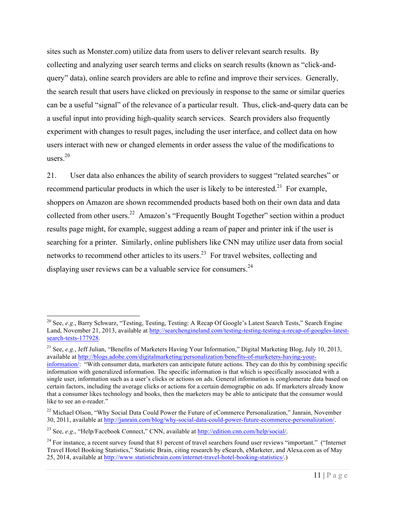sites such as Monster.com) utilize data from users to deliver relevant search results. By collecting and analyzing user search terms and clicks on search results (known as "click-andquery" data), online search providers are able to refine and improve their services. Generally, the search result that users have clicked on previously in response to the same or similar queries can be a useful "signal" of the relevance of a particular result. Thus, click-and-query data can be a useful input into providing high-quality search services. Search providers also frequently experiment with changes to result pages, including the user interface, and collect data on how users interact with new or changed elements in order assess the value of the modifications to users.20

21. User data also enhances the ability of search providers to suggest "related searches" or recommend particular products in which the user is likely to be interested.<sup>21</sup> For example, shoppers on Amazon are shown recommended products based both on their own data and data collected from other users.<sup>22</sup> Amazon's "Frequently Bought Together" section within a product results page might, for example, suggest adding a ream of paper and printer ink if the user is searching for a printer. Similarly, online publishers like CNN may utilize user data from social networks to recommend other articles to its users.<sup>23</sup> For travel websites, collecting and displaying user reviews can be a valuable service for consumers.<sup>24</sup>

 <sup>20</sup> See, *e.g.*, Barry Schwarz, "Testing, Testing, Testing: A Recap Of Google's Latest Search Tests," Search Engine Land, November 21, 2013, available at http://searchengineland.com/testing-testing-testing-a-recap-of-googles-latestsearch-tests-177928.

<sup>21</sup> See, *e.g.*, Jeff Julian, "Benefits of Marketers Having Your Information," Digital Marketing Blog, July 10, 2013, available at http://blogs.adobe.com/digitalmarketing/personalization/benefits-of-marketers-having-yourinformation/: "With consumer data, marketers can anticipate future actions. They can do this by combining specific information with generalized information. The specific information is that which is specifically associated with a single user, information such as a user's clicks or actions on ads. General information is conglomerate data based on certain factors, including the average clicks or actions for a certain demographic on ads. If marketers already know that a consumer likes technology and books, then the marketers may be able to anticipate that the consumer would like to see an e-reader."

<sup>&</sup>lt;sup>22</sup> Michael Olson, "Why Social Data Could Power the Future of eCommerce Personalization," Janrain, November 30, 2011, available at http://janrain.com/blog/why-social-data-could-power-future-ecommerce-personalization/.

<sup>23</sup> See, *e.g*., "Help/Facebook Connect," CNN, available at http://edition.cnn.com/help/social/.

 $24$  For instance, a recent survey found that 81 percent of travel searchers found user reviews "important." ("Internet Travel Hotel Booking Statistics," Statistic Brain, citing research by eSearch, eMarketer, and Alexa.com as of May 25, 2014, available at http://www.statisticbrain.com/internet-travel-hotel-booking-statistics/.)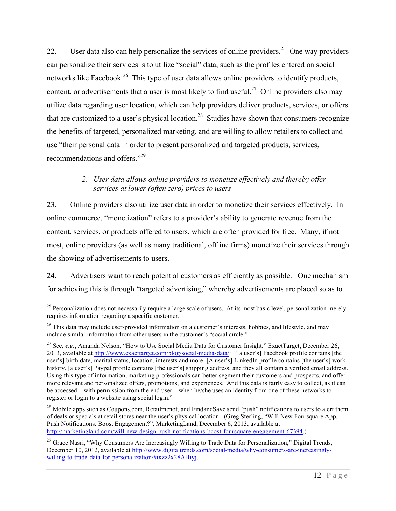22. User data also can help personalize the services of online providers.<sup>25</sup> One way providers can personalize their services is to utilize "social" data, such as the profiles entered on social networks like Facebook.<sup>26</sup> This type of user data allows online providers to identify products, content, or advertisements that a user is most likely to find useful.<sup>27</sup> Online providers also may utilize data regarding user location, which can help providers deliver products, services, or offers that are customized to a user's physical location.<sup>28</sup> Studies have shown that consumers recognize the benefits of targeted, personalized marketing, and are willing to allow retailers to collect and use "their personal data in order to present personalized and targeted products, services, recommendations and offers."<sup>29</sup>

# *2. User data allows online providers to monetize effectively and thereby offer services at lower (often zero) prices to users*

23. Online providers also utilize user data in order to monetize their services effectively. In online commerce, "monetization" refers to a provider's ability to generate revenue from the content, services, or products offered to users, which are often provided for free. Many, if not most, online providers (as well as many traditional, offline firms) monetize their services through the showing of advertisements to users.

24. Advertisers want to reach potential customers as efficiently as possible. One mechanism for achieving this is through "targeted advertising," whereby advertisements are placed so as to

 $^{25}$  Personalization does not necessarily require a large scale of users. At its most basic level, personalization merely requires information regarding a specific customer.

<sup>&</sup>lt;sup>26</sup> This data may include user-provided information on a customer's interests, hobbies, and lifestyle, and may include similar information from other users in the customer's "social circle."

<sup>&</sup>lt;sup>27</sup> See, *e.g.*, Amanda Nelson, "How to Use Social Media Data for Customer Insight," ExactTarget, December 26, 2013, available at http://www.exacttarget.com/blog/social-media-data/: "[a user's] Facebook profile contains [the user's] birth date, marital status, location, interests and more. [A user's] LinkedIn profile contains [the user's] work history, [a user's] Paypal profile contains [the user's] shipping address, and they all contain a verified email address. Using this type of information, marketing professionals can better segment their customers and prospects, and offer more relevant and personalized offers, promotions, and experiences. And this data is fairly easy to collect, as it can be accessed – with permission from the end user – when he/she uses an identity from one of these networks to register or login to a website using social login."

 $28$  Mobile apps such as Coupons.com, Retailmenot, and FindandSave send "push" notifications to users to alert them of deals or specials at retail stores near the user's physical location. (Greg Sterling, "Will New Foursquare App, Push Notifications, Boost Engagement?", MarketingLand, December 6, 2013, available at http://marketingland.com/will-new-design-push-notifications-boost-foursquare-engagement-67394.)

<sup>&</sup>lt;sup>29</sup> Grace Nasri, "Why Consumers Are Increasingly Willing to Trade Data for Personalization," Digital Trends, December 10, 2012, available at http://www.digitaltrends.com/social-media/why-consumers-are-increasinglywilling-to-trade-data-for-personalization/#ixzz2x28AHiyj.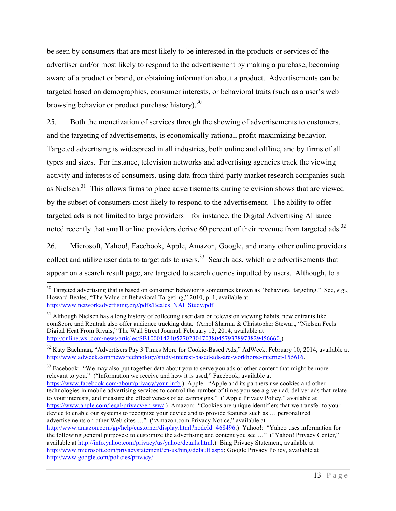be seen by consumers that are most likely to be interested in the products or services of the advertiser and/or most likely to respond to the advertisement by making a purchase, becoming aware of a product or brand, or obtaining information about a product. Advertisements can be targeted based on demographics, consumer interests, or behavioral traits (such as a user's web browsing behavior or product purchase history).<sup>30</sup>

25. Both the monetization of services through the showing of advertisements to customers, and the targeting of advertisements, is economically-rational, profit-maximizing behavior. Targeted advertising is widespread in all industries, both online and offline, and by firms of all types and sizes. For instance, television networks and advertising agencies track the viewing activity and interests of consumers, using data from third-party market research companies such as Nielsen. $31$  This allows firms to place advertisements during television shows that are viewed by the subset of consumers most likely to respond to the advertisement. The ability to offer targeted ads is not limited to large providers—for instance, the Digital Advertising Alliance noted recently that small online providers derive 60 percent of their revenue from targeted ads.<sup>32</sup>

26. Microsoft, Yahoo!, Facebook, Apple, Amazon, Google, and many other online providers collect and utilize user data to target ads to users.<sup>33</sup> Search ads, which are advertisements that appear on a search result page, are targeted to search queries inputted by users. Although, to a

<sup>33</sup> Facebook: "We may also put together data about you to serve you ads or other content that might be more relevant to you." ("Information we receive and how it is used," Facebook, available at https://www.facebook.com/about/privacy/your-info.) Apple: "Apple and its partners use cookies and other technologies in mobile advertising services to control the number of times you see a given ad, deliver ads that relate to your interests, and measure the effectiveness of ad campaigns." ("Apple Privacy Policy," available at https://www.apple.com/legal/privacy/en-ww/.) Amazon: "Cookies are unique identifiers that we transfer to your device to enable our systems to recognize your device and to provide features such as … personalized advertisements on other Web sites …" ("Amazon.com Privacy Notice," available at http://www.amazon.com/gp/help/customer/display.html?nodeId=468496.) Yahoo!: "Yahoo uses information for the following general purposes: to customize the advertising and content you see …" ("Yahoo! Privacy Center," available at http://info.yahoo.com/privacy/us/yahoo/details.html.) Bing Privacy Statement, available at http://www.microsoft.com/privacystatement/en-us/bing/default.aspx; Google Privacy Policy, available at http://www.google.com/policies/privacy/.

<sup>&</sup>lt;sup>30</sup> Targeted advertising that is based on consumer behavior is sometimes known as "behavioral targeting." See, *e.g.*, Howard Beales, "The Value of Behavioral Targeting," 2010, p. 1, available at http://www.networkadvertising.org/pdfs/Beales\_NAI\_Study.pdf.

 $31$  Although Nielsen has a long history of collecting user data on television viewing habits, new entrants like comScore and Rentrak also offer audience tracking data. (Amol Sharma & Christopher Stewart, "Nielsen Feels Digital Heat From Rivals," The Wall Street Journal, February 12, 2014, available at http://online.wsj.com/news/articles/SB10001424052702304703804579378973829456660.)

<sup>&</sup>lt;sup>32</sup> Katy Bachman, "Advertisers Pay 3 Times More for Cookie-Based Ads," AdWeek, February 10, 2014, available at http://www.adweek.com/news/technology/study-interest-based-ads-are-workhorse-internet-155616.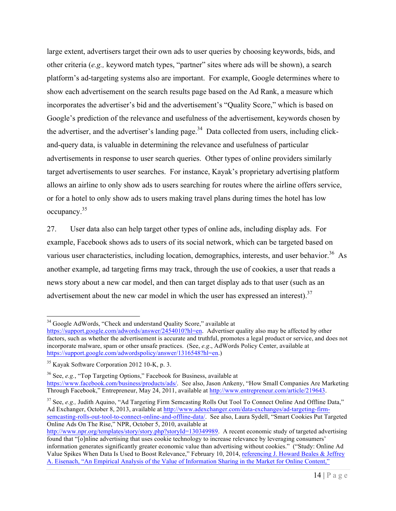large extent, advertisers target their own ads to user queries by choosing keywords, bids, and other criteria (*e.g.,* keyword match types, "partner" sites where ads will be shown), a search platform's ad-targeting systems also are important. For example, Google determines where to show each advertisement on the search results page based on the Ad Rank, a measure which incorporates the advertiser's bid and the advertisement's "Quality Score," which is based on Google's prediction of the relevance and usefulness of the advertisement, keywords chosen by the advertiser, and the advertiser's landing page.<sup>34</sup> Data collected from users, including clickand-query data, is valuable in determining the relevance and usefulness of particular advertisements in response to user search queries. Other types of online providers similarly target advertisements to user searches. For instance, Kayak's proprietary advertising platform allows an airline to only show ads to users searching for routes where the airline offers service, or for a hotel to only show ads to users making travel plans during times the hotel has low occupancy.35

27. User data also can help target other types of online ads, including display ads. For example, Facebook shows ads to users of its social network, which can be targeted based on various user characteristics, including location, demographics, interests, and user behavior.<sup>36</sup> As another example, ad targeting firms may track, through the use of cookies, a user that reads a news story about a new car model, and then can target display ads to that user (such as an advertisement about the new car model in which the user has expressed an interest).<sup>37</sup>

<sup>36</sup> See, *e.g.*, "Top Targeting Options," Facebook for Business, available at

<sup>&</sup>lt;sup>34</sup> Google AdWords, "Check and understand Quality Score," available at

https://support.google.com/adwords/answer/2454010?hl=en. Advertiser quality also may be affected by other factors, such as whether the advertisement is accurate and truthful, promotes a legal product or service, and does not incorporate malware, spam or other unsafe practices. (See, *e.g*., AdWords Policy Center, available at https://support.google.com/adwordspolicy/answer/1316548?hl=en.)

<sup>35</sup> Kayak Software Corporation 2012 10-K, p. 3.

https://www.facebook.com/business/products/ads/. See also, Jason Ankeny, "How Small Companies Are Marketing Through Facebook," Entrepreneur, May 24, 2011, available at http://www.entrepreneur.com/article/219643.

<sup>&</sup>lt;sup>37</sup> See, *e.g.*, Judith Aquino, "Ad Targeting Firm Semcasting Rolls Out Tool To Connect Online And Offline Data," Ad Exchanger, October 8, 2013, available at http://www.adexchanger.com/data-exchanges/ad-targeting-firmsemcasting-rolls-out-tool-to-connect-online-and-offline-data/. See also, Laura Sydell, "Smart Cookies Put Targeted Online Ads On The Rise," NPR, October 5, 2010, available at

http://www.npr.org/templates/story/story.php?storyId=130349989. A recent economic study of targeted advertising found that "[o]nline advertising that uses cookie technology to increase relevance by leveraging consumers' information generates significantly greater economic value than advertising without cookies." ("Study: Online Ad Value Spikes When Data Is Used to Boost Relevance," February 10, 2014, referencing J. Howard Beales & Jeffrey A. Eisenach, "An Empirical Analysis of the Value of Information Sharing in the Market for Online Content,"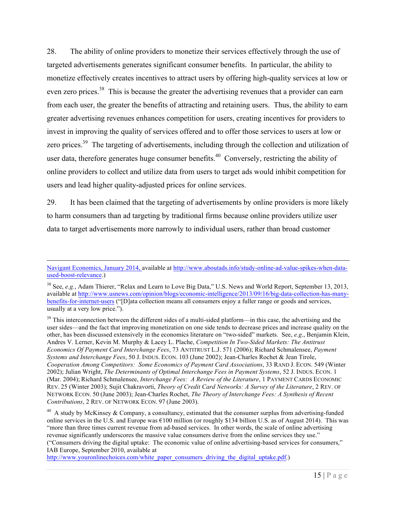28. The ability of online providers to monetize their services effectively through the use of targeted advertisements generates significant consumer benefits. In particular, the ability to monetize effectively creates incentives to attract users by offering high-quality services at low or even zero prices.<sup>38</sup> This is because the greater the advertising revenues that a provider can earn from each user, the greater the benefits of attracting and retaining users. Thus, the ability to earn greater advertising revenues enhances competition for users, creating incentives for providers to invest in improving the quality of services offered and to offer those services to users at low or zero prices.<sup>39</sup> The targeting of advertisements, including through the collection and utilization of user data, therefore generates huge consumer benefits.<sup>40</sup> Conversely, restricting the ability of online providers to collect and utilize data from users to target ads would inhibit competition for users and lead higher quality-adjusted prices for online services.

29. It has been claimed that the targeting of advertisements by online providers is more likely to harm consumers than ad targeting by traditional firms because online providers utilize user data to target advertisements more narrowly to individual users, rather than broad customer

Navigant Economics, January 2014, available at http://www.aboutads.info/study-online-ad-value-spikes-when-dataused-boost-relevance.)

<sup>&</sup>lt;sup>38</sup> See, *e.g.*, Adam Thierer, "Relax and Learn to Love Big Data," U.S. News and World Report, September 13, 2013, available at http://www.usnews.com/opinion/blogs/economic-intelligence/2013/09/16/big-data-collection-has-manybenefits-for-internet-users ("[D]ata collection means all consumers enjoy a fuller range or goods and services, usually at a very low price.").

<sup>&</sup>lt;sup>39</sup> This interconnection between the different sides of a multi-sided platform—in this case, the advertising and the user sides—and the fact that improving monetization on one side tends to decrease prices and increase quality on the other, has been discussed extensively in the economics literature on "two-sided" markets. See, *e.g*., Benjamin Klein, Andres V. Lerner, Kevin M. Murphy & Lacey L. Plache, *Competition In Two-Sided Markets: The Antitrust Economics Of Payment Card Interchange Fees*, 73 ANTITRUST L.J. 571 (2006); Richard Schmalensee, *Payment Systems and Interchange Fees*, 50 J. INDUS. ECON. 103 (June 2002); Jean-Charles Rochet & Jean Tirole, *Cooperation Among Competitors: Some Economics of Payment Card Associations*, 33 RAND J. ECON. 549 (Winter 2002); Julian Wright, *The Determinants of Optimal Interchange Fees in Payment Systems*, 52 J. INDUS. ECON. 1 (Mar. 2004); Richard Schmalensee, *Interchange Fees: A Review of the Literature*, 1 PAYMENT CARDS ECONOMIC REV. 25 (Winter 2003); Sujit Chakravorti, *Theory of Credit Card Networks: A Survey of the Literature*, 2 REV. OF NETWORK ECON. 50 (June 2003); Jean-Charles Rochet, *The Theory of Interchange Fees: A Synthesis of Recent Contributions*, 2 REV. OF NETWORK ECON. 97 (June 2003).

<sup>&</sup>lt;sup>40</sup> A study by McKinsey & Company, a consultancy, estimated that the consumer surplus from advertising-funded online services in the U.S. and Europe was €100 million (or roughly \$134 billion U.S. as of August 2014). This was "more than three times current revenue from ad-based services. In other words, the scale of online advertising revenue significantly underscores the massive value consumers derive from the online services they use." ("Consumers driving the digital uptake: The economic value of online advertising-based services for consumers," IAB Europe, September 2010, available at

http://www.youronlinechoices.com/white\_paper\_consumers\_driving\_the\_digital\_uptake.pdf.)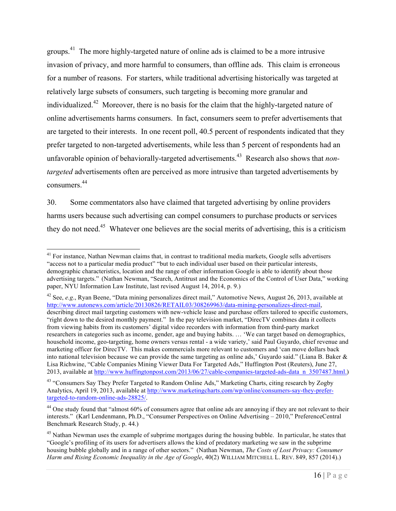groups.<sup>41</sup> The more highly-targeted nature of online ads is claimed to be a more intrusive invasion of privacy, and more harmful to consumers, than offline ads. This claim is erroneous for a number of reasons. For starters, while traditional advertising historically was targeted at relatively large subsets of consumers, such targeting is becoming more granular and individualized.<sup>42</sup> Moreover, there is no basis for the claim that the highly-targeted nature of online advertisements harms consumers. In fact, consumers seem to prefer advertisements that are targeted to their interests. In one recent poll, 40.5 percent of respondents indicated that they prefer targeted to non-targeted advertisements, while less than 5 percent of respondents had an unfavorable opinion of behaviorally-targeted advertisements. 43 Research also shows that *nontargeted* advertisements often are perceived as more intrusive than targeted advertisements by consumers.44

30. Some commentators also have claimed that targeted advertising by online providers harms users because such advertising can compel consumers to purchase products or services they do not need.45 Whatever one believes are the social merits of advertising, this is a criticism

<sup>42</sup> See, *e.g*., Ryan Beene, "Data mining personalizes direct mail," Automotive News, August 26, 2013, available at http://www.autonews.com/article/20130826/RETAIL03/308269963/data-mining-personalizes-direct-mail, describing direct mail targeting customers with new-vehicle lease and purchase offers tailored to specific customers, "right down to the desired monthly payment." In the pay television market, "DirecTV combines data it collects from viewing habits from its customers' digital video recorders with information from third-party market researchers in categories such as income, gender, age and buying habits. … 'We can target based on demographics, household income, geo-targeting, home owners versus rental - a wide variety,' said Paul Guyardo, chief revenue and marketing officer for DirecTV. This makes commercials more relevant to customers and 'can move dollars back into national television because we can provide the same targeting as online ads,' Guyardo said." (Liana B. Baker & Lisa Richwine, "Cable Companies Mining Viewer Data For Targeted Ads," Huffington Post (Reuters), June 27, 2013, available at http://www.huffingtonpost.com/2013/06/27/cable-companies-targeted-ads-data\_n\_3507487.html.)

<sup>43</sup> "Consumers Say They Prefer Targeted to Random Online Ads," Marketing Charts, citing research by Zogby Analytics, April 19, 2013, available at http://www.marketingcharts.com/wp/online/consumers-say-they-prefertargeted-to-random-online-ads-28825/.

<sup>&</sup>lt;sup>41</sup> For instance, Nathan Newman claims that, in contrast to traditional media markets, Google sells advertisers "access not to a particular media product" "but to each individual user based on their particular interests, demographic characteristics, location and the range of other information Google is able to identify about those advertising targets." (Nathan Newman, "Search, Antitrust and the Economics of the Control of User Data," working paper, NYU Information Law Institute, last revised August 14, 2014, p. 9.)

<sup>&</sup>lt;sup>44</sup> One study found that "almost  $60\%$  of consumers agree that online ads are annoying if they are not relevant to their interests." (Karl Lendenmann, Ph.D., "Consumer Perspectives on Online Advertising – 2010," PreferenceCentral Benchmark Research Study, p. 44.)

<sup>&</sup>lt;sup>45</sup> Nathan Newman uses the example of subprime mortgages during the housing bubble. In particular, he states that "Google's profiling of its users for advertisers allows the kind of predatory marketing we saw in the subprime housing bubble globally and in a range of other sectors." (Nathan Newman, *The Costs of Lost Privacy: Consumer Harm and Rising Economic Inequality in the Age of Google*, 40(2) WILLIAM MITCHELL L. REV. 849, 857 (2014).)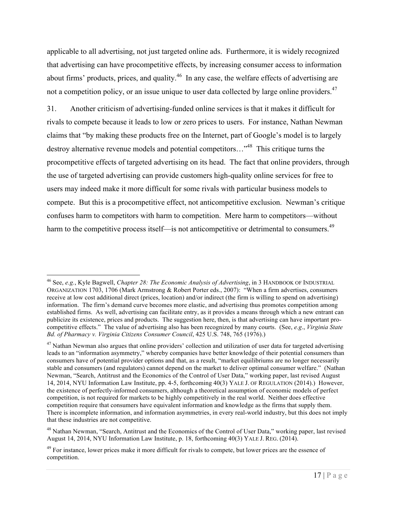applicable to all advertising, not just targeted online ads. Furthermore, it is widely recognized that advertising can have procompetitive effects, by increasing consumer access to information about firms' products, prices, and quality.<sup>46</sup> In any case, the welfare effects of advertising are not a competition policy, or an issue unique to user data collected by large online providers.<sup>47</sup>

31. Another criticism of advertising-funded online services is that it makes it difficult for rivals to compete because it leads to low or zero prices to users. For instance, Nathan Newman claims that "by making these products free on the Internet, part of Google's model is to largely destroy alternative revenue models and potential competitors…"48 This critique turns the procompetitive effects of targeted advertising on its head. The fact that online providers, through the use of targeted advertising can provide customers high-quality online services for free to users may indeed make it more difficult for some rivals with particular business models to compete. But this is a procompetitive effect, not anticompetitive exclusion. Newman's critique confuses harm to competitors with harm to competition. Mere harm to competitors—without harm to the competitive process itself—is not anticompetitive or detrimental to consumers.<sup>49</sup>

 <sup>46</sup> See, *e.g.*, Kyle Bagwell, *Chapter 28: The Economic Analysis of Advertising*, in 3 HANDBOOK OF INDUSTRIAL ORGANIZATION 1703, 1706 (Mark Armstrong & Robert Porter eds., 2007): "When a firm advertises, consumers receive at low cost additional direct (prices, location) and/or indirect (the firm is willing to spend on advertising) information. The firm's demand curve becomes more elastic, and advertising thus promotes competition among established firms. As well, advertising can facilitate entry, as it provides a means through which a new entrant can publicize its existence, prices and products. The suggestion here, then, is that advertising can have important procompetitive effects." The value of advertising also has been recognized by many courts. (See, *e.g*., *Virginia State Bd. of Pharmacy v. Virginia Citizens Consumer Council*, 425 U.S. 748, 765 (1976).)

<sup>&</sup>lt;sup>47</sup> Nathan Newman also argues that online providers' collection and utilization of user data for targeted advertising leads to an "information asymmetry," whereby companies have better knowledge of their potential consumers than consumers have of potential provider options and that, as a result, "market equilibriums are no longer necessarily stable and consumers (and regulators) cannot depend on the market to deliver optimal consumer welfare." (Nathan Newman, "Search, Antitrust and the Economics of the Control of User Data," working paper, last revised August 14, 2014, NYU Information Law Institute, pp. 4-5, forthcoming 40(3) YALE J. OF REGULATION (2014).) However, the existence of perfectly-informed consumers, although a theoretical assumption of economic models of perfect competition, is not required for markets to be highly competitively in the real world. Neither does effective competition require that consumers have equivalent information and knowledge as the firms that supply them. There is incomplete information, and information asymmetries, in every real-world industry, but this does not imply that these industries are not competitive.

<sup>&</sup>lt;sup>48</sup> Nathan Newman, "Search, Antitrust and the Economics of the Control of User Data," working paper, last revised August 14, 2014, NYU Information Law Institute, p. 18, forthcoming 40(3) YALE J. REG. (2014).

<sup>&</sup>lt;sup>49</sup> For instance, lower prices make it more difficult for rivals to compete, but lower prices are the essence of competition.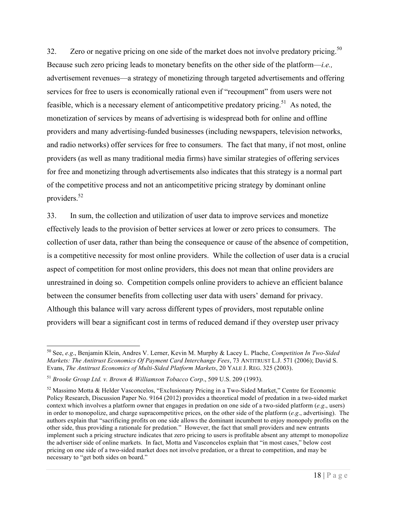32. Zero or negative pricing on one side of the market does not involve predatory pricing.<sup>50</sup> Because such zero pricing leads to monetary benefits on the other side of the platform—*i.e.,*  advertisement revenues—a strategy of monetizing through targeted advertisements and offering services for free to users is economically rational even if "recoupment" from users were not feasible, which is a necessary element of anticompetitive predatory pricing.<sup>51</sup> As noted, the monetization of services by means of advertising is widespread both for online and offline providers and many advertising-funded businesses (including newspapers, television networks, and radio networks) offer services for free to consumers. The fact that many, if not most, online providers (as well as many traditional media firms) have similar strategies of offering services for free and monetizing through advertisements also indicates that this strategy is a normal part of the competitive process and not an anticompetitive pricing strategy by dominant online providers.52

33. In sum, the collection and utilization of user data to improve services and monetize effectively leads to the provision of better services at lower or zero prices to consumers. The collection of user data, rather than being the consequence or cause of the absence of competition, is a competitive necessity for most online providers. While the collection of user data is a crucial aspect of competition for most online providers, this does not mean that online providers are unrestrained in doing so. Competition compels online providers to achieve an efficient balance between the consumer benefits from collecting user data with users' demand for privacy. Although this balance will vary across different types of providers, most reputable online providers will bear a significant cost in terms of reduced demand if they overstep user privacy

 <sup>50</sup> See, *e.g*., Benjamin Klein, Andres V. Lerner, Kevin M. Murphy & Lacey L. Plache, *Competition In Two-Sided Markets: The Antitrust Economics Of Payment Card Interchange Fees*, 73 ANTITRUST L.J. 571 (2006); David S. Evans, *The Antitrust Economics of Multi-Sided Platform Markets*, 20 YALE J. REG. 325 (2003).

<sup>51</sup> *Brooke Group Ltd. v. Brown & Williamson Tobacco Corp*., 509 U.S. 209 (1993).

<sup>52</sup> Massimo Motta & Helder Vasconcelos, "Exclusionary Pricing in a Two-Sided Market," Centre for Economic Policy Research, Discussion Paper No. 9164 (2012) provides a theoretical model of predation in a two-sided market context which involves a platform owner that engages in predation on one side of a two-sided platform (*e.g*., users) in order to monopolize, and charge supracompetitive prices, on the other side of the platform (*e.g*., advertising). The authors explain that "sacrificing profits on one side allows the dominant incumbent to enjoy monopoly profits on the other side, thus providing a rationale for predation." However, the fact that small providers and new entrants implement such a pricing structure indicates that zero pricing to users is profitable absent any attempt to monopolize the advertiser side of online markets. In fact, Motta and Vasconcelos explain that "in most cases," below cost pricing on one side of a two-sided market does not involve predation, or a threat to competition, and may be necessary to "get both sides on board."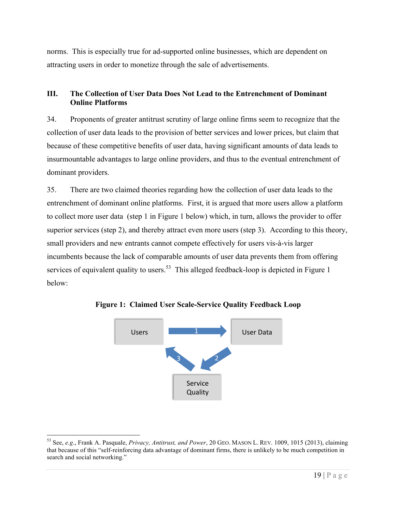norms. This is especially true for ad-supported online businesses, which are dependent on attracting users in order to monetize through the sale of advertisements.

## **III. The Collection of User Data Does Not Lead to the Entrenchment of Dominant Online Platforms**

34. Proponents of greater antitrust scrutiny of large online firms seem to recognize that the collection of user data leads to the provision of better services and lower prices, but claim that because of these competitive benefits of user data, having significant amounts of data leads to insurmountable advantages to large online providers, and thus to the eventual entrenchment of dominant providers.

35. There are two claimed theories regarding how the collection of user data leads to the entrenchment of dominant online platforms. First, it is argued that more users allow a platform to collect more user data (step 1 in Figure 1 below) which, in turn, allows the provider to offer superior services (step 2), and thereby attract even more users (step 3). According to this theory, small providers and new entrants cannot compete effectively for users vis-à-vis larger incumbents because the lack of comparable amounts of user data prevents them from offering services of equivalent quality to users.<sup>53</sup> This alleged feedback-loop is depicted in Figure 1 below:



**Figure 1: Claimed User Scale-Service Quality Feedback Loop**

 <sup>53</sup> See, *e.g*., Frank A. Pasquale, *Privacy, Antitrust, and Power*, 20 GEO. MASON L. REV. 1009, 1015 (2013), claiming that because of this "self-reinforcing data advantage of dominant firms, there is unlikely to be much competition in search and social networking."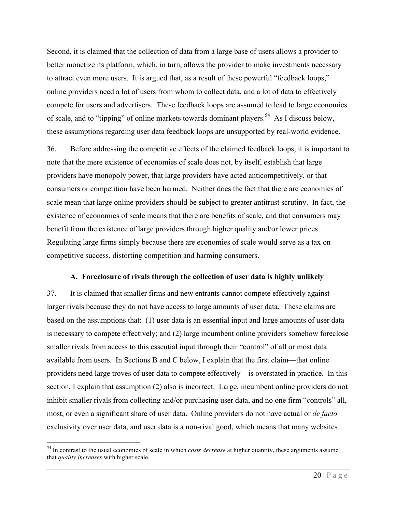Second, it is claimed that the collection of data from a large base of users allows a provider to better monetize its platform, which, in turn, allows the provider to make investments necessary to attract even more users. It is argued that, as a result of these powerful "feedback loops," online providers need a lot of users from whom to collect data, and a lot of data to effectively compete for users and advertisers. These feedback loops are assumed to lead to large economies of scale, and to "tipping" of online markets towards dominant players.<sup>54</sup> As I discuss below, these assumptions regarding user data feedback loops are unsupported by real-world evidence.

36. Before addressing the competitive effects of the claimed feedback loops, it is important to note that the mere existence of economies of scale does not, by itself, establish that large providers have monopoly power, that large providers have acted anticompetitively, or that consumers or competition have been harmed. Neither does the fact that there are economies of scale mean that large online providers should be subject to greater antitrust scrutiny. In fact, the existence of economies of scale means that there are benefits of scale, and that consumers may benefit from the existence of large providers through higher quality and/or lower prices. Regulating large firms simply because there are economies of scale would serve as a tax on competitive success, distorting competition and harming consumers.

#### **A. Foreclosure of rivals through the collection of user data is highly unlikely**

37. It is claimed that smaller firms and new entrants cannot compete effectively against larger rivals because they do not have access to large amounts of user data. These claims are based on the assumptions that: (1) user data is an essential input and large amounts of user data is necessary to compete effectively; and (2) large incumbent online providers somehow foreclose smaller rivals from access to this essential input through their "control" of all or most data available from users. In Sections B and C below, I explain that the first claim—that online providers need large troves of user data to compete effectively—is overstated in practice. In this section, I explain that assumption (2) also is incorrect. Large, incumbent online providers do not inhibit smaller rivals from collecting and/or purchasing user data, and no one firm "controls" all, most, or even a significant share of user data. Online providers do not have actual or *de facto* exclusivity over user data, and user data is a non-rival good, which means that many websites

 <sup>54</sup> In contrast to the usual economies of scale in which *costs decrease* at higher quantity, these arguments assume that *quality increases* with higher scale.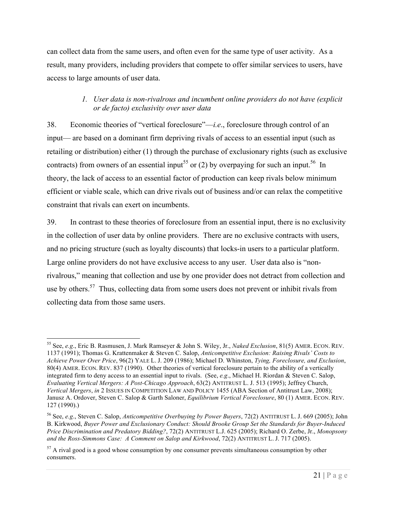can collect data from the same users, and often even for the same type of user activity. As a result, many providers, including providers that compete to offer similar services to users, have access to large amounts of user data.

# *1. User data is non-rivalrous and incumbent online providers do not have (explicit or de facto) exclusivity over user data*

38. Economic theories of "vertical foreclosure"—*i.e*., foreclosure through control of an input— are based on a dominant firm depriving rivals of access to an essential input (such as retailing or distribution) either (1) through the purchase of exclusionary rights (such as exclusive contracts) from owners of an essential input<sup>55</sup> or (2) by overpaying for such an input.<sup>56</sup> In theory, the lack of access to an essential factor of production can keep rivals below minimum efficient or viable scale, which can drive rivals out of business and/or can relax the competitive constraint that rivals can exert on incumbents.

39. In contrast to these theories of foreclosure from an essential input, there is no exclusivity in the collection of user data by online providers. There are no exclusive contracts with users, and no pricing structure (such as loyalty discounts) that locks-in users to a particular platform. Large online providers do not have exclusive access to any user. User data also is "nonrivalrous," meaning that collection and use by one provider does not detract from collection and use by others.<sup>57</sup> Thus, collecting data from some users does not prevent or inhibit rivals from collecting data from those same users.

 <sup>55</sup> See, *e.g*., Eric B. Rasmusen, J. Mark Ramseyer & John S. Wiley, Jr., *Naked Exclusion*, 81(5) AMER. ECON. REV. 1137 (1991); Thomas G. Krattenmaker & Steven C. Salop, *Anticompetitive Exclusion: Raising Rivals' Costs to Achieve Power Over Price*, 96(2) YALE L. J. 209 (1986); Michael D. Whinston, *Tying, Foreclosure, and Exclusion*, 80(4) AMER. ECON. REV. 837 (1990). Other theories of vertical foreclosure pertain to the ability of a vertically integrated firm to deny access to an essential input to rivals. (See, *e.g*., Michael H. Riordan & Steven C. Salop, *Evaluating Vertical Mergers: A Post-Chicago Approach*, 63(2) ANTITRUST L. J. 513 (1995); Jeffrey Church, *Vertical Mergers*, *in* 2 ISSUES IN COMPETITION LAW AND POLICY 1455 (ABA Section of Antitrust Law, 2008); Janusz A. Ordover, Steven C. Salop & Garth Saloner, *Equilibrium Vertical Foreclosure*, 80 (1) AMER. ECON. REV. 127 (1990).)

<sup>56</sup> See, *e.g*., Steven C. Salop, *Anticompetitive Overbuying by Power Buyers*, 72(2) ANTITRUST L. J. 669 (2005); John B. Kirkwood, *Buyer Power and Exclusionary Conduct: Should Brooke Group Set the Standards for Buyer-Induced Price Discrimination and Predatory Bidding?*, 72(2) ANTITRUST L.J. 625 (2005); Richard O. Zerbe, Jr., *Monopsony and the Ross-Simmons Case: A Comment on Salop and Kirkwood*, 72(2) ANTITRUST L. J. 717 (2005).

 $57$  A rival good is a good whose consumption by one consumer prevents simultaneous consumption by other consumers.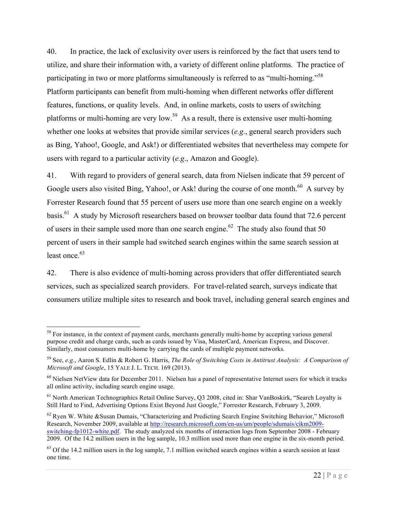40. In practice, the lack of exclusivity over users is reinforced by the fact that users tend to utilize, and share their information with, a variety of different online platforms. The practice of participating in two or more platforms simultaneously is referred to as "multi-homing."<sup>58</sup> Platform participants can benefit from multi-homing when different networks offer different features, functions, or quality levels. And, in online markets, costs to users of switching platforms or multi-homing are very low.<sup>59</sup> As a result, there is extensive user multi-homing whether one looks at websites that provide similar services (*e.g*., general search providers such as Bing, Yahoo!, Google, and Ask!) or differentiated websites that nevertheless may compete for users with regard to a particular activity (*e.g*., Amazon and Google).

41. With regard to providers of general search, data from Nielsen indicate that 59 percent of Google users also visited Bing, Yahoo!, or Ask! during the course of one month.<sup>60</sup> A survey by Forrester Research found that 55 percent of users use more than one search engine on a weekly basis.<sup>61</sup> A study by Microsoft researchers based on browser toolbar data found that 72.6 percent of users in their sample used more than one search engine.<sup>62</sup> The study also found that 50 percent of users in their sample had switched search engines within the same search session at least once. $63$ 

42. There is also evidence of multi-homing across providers that offer differentiated search services, such as specialized search providers. For travel-related search, surveys indicate that consumers utilize multiple sites to research and book travel, including general search engines and

<sup>&</sup>lt;sup>58</sup> For instance, in the context of payment cards, merchants generally multi-home by accepting various general purpose credit and charge cards, such as cards issued by Visa, MasterCard, American Express, and Discover. Similarly, most consumers multi-home by carrying the cards of multiple payment networks.

<sup>59</sup> See, *e.g*., Aaron S. Edlin & Robert G. Harris, *The Role of Switching Costs in Antitrust Analysis: A Comparison of Microsoft and Google*, 15 YALE J. L. TECH. 169 (2013).

 $60$  Nielsen NetView data for December 2011. Nielsen has a panel of representative Internet users for which it tracks all online activity, including search engine usage.

<sup>&</sup>lt;sup>61</sup> North American Technographics Retail Online Survey, Q3 2008, cited in: Shar VanBoskirk, "Search Loyalty is Still Hard to Find, Advertising Options Exist Beyond Just Google," Forrester Research, February 3, 2009.

<sup>&</sup>lt;sup>62</sup> Ryen W. White & Susan Dumais, "Characterizing and Predicting Search Engine Switching Behavior," Microsoft Research, November 2009, available at http://research.microsoft.com/en-us/um/people/sdumais/cikm2009 switching-fp1012-white.pdf. The study analyzed six months of interaction logs from September 2008 - February 2009. Of the 14.2 million users in the log sample, 10.3 million used more than one engine in the six-month period.

 $63$  Of the 14.2 million users in the log sample, 7.1 million switched search engines within a search session at least one time.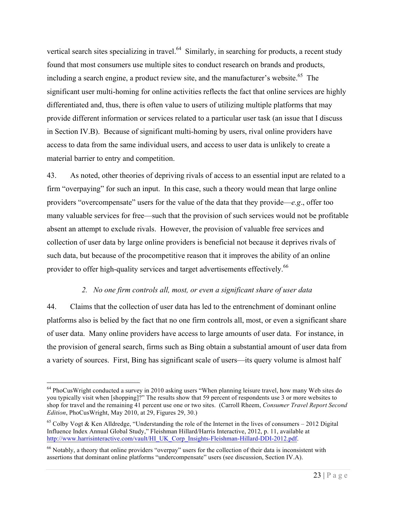vertical search sites specializing in travel.<sup>64</sup> Similarly, in searching for products, a recent study found that most consumers use multiple sites to conduct research on brands and products, including a search engine, a product review site, and the manufacturer's website.<sup>65</sup> The significant user multi-homing for online activities reflects the fact that online services are highly differentiated and, thus, there is often value to users of utilizing multiple platforms that may provide different information or services related to a particular user task (an issue that I discuss in Section IV.B). Because of significant multi-homing by users, rival online providers have access to data from the same individual users, and access to user data is unlikely to create a material barrier to entry and competition.

43. As noted, other theories of depriving rivals of access to an essential input are related to a firm "overpaying" for such an input. In this case, such a theory would mean that large online providers "overcompensate" users for the value of the data that they provide—*e.g*., offer too many valuable services for free—such that the provision of such services would not be profitable absent an attempt to exclude rivals. However, the provision of valuable free services and collection of user data by large online providers is beneficial not because it deprives rivals of such data, but because of the procompetitive reason that it improves the ability of an online provider to offer high-quality services and target advertisements effectively.<sup>66</sup>

#### *2. No one firm controls all, most, or even a significant share of user data*

44. Claims that the collection of user data has led to the entrenchment of dominant online platforms also is belied by the fact that no one firm controls all, most, or even a significant share of user data. Many online providers have access to large amounts of user data. For instance, in the provision of general search, firms such as Bing obtain a substantial amount of user data from a variety of sources. First, Bing has significant scale of users—its query volume is almost half

<sup>&</sup>lt;sup>64</sup> PhoCusWright conducted a survey in 2010 asking users "When planning leisure travel, how many Web sites do you typically visit when [shopping]?" The results show that 59 percent of respondents use 3 or more websites to shop for travel and the remaining 41 percent use one or two sites. (Carroll Rheem, *Consumer Travel Report Second Edition*, PhoCusWright, May 2010, at 29, Figures 29, 30.)

<sup>&</sup>lt;sup>65</sup> Colby Vogt & Ken Alldredge, "Understanding the role of the Internet in the lives of consumers – 2012 Digital Influence Index Annual Global Study," Fleishman Hillard/Harris Interactive, 2012, p. 11, available at http://www.harrisinteractive.com/vault/HI\_UK\_Corp\_Insights-Fleishman-Hillard-DDI-2012.pdf.

<sup>66</sup> Notably, a theory that online providers "overpay" users for the collection of their data is inconsistent with assertions that dominant online platforms "undercompensate" users (see discussion, Section IV.A).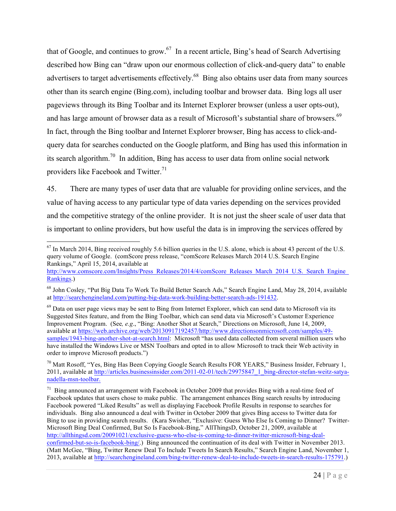that of Google, and continues to grow.<sup>67</sup> In a recent article, Bing's head of Search Advertising described how Bing can "draw upon our enormous collection of click-and-query data" to enable advertisers to target advertisements effectively.<sup>68</sup> Bing also obtains user data from many sources other than its search engine (Bing.com), including toolbar and browser data. Bing logs all user pageviews through its Bing Toolbar and its Internet Explorer browser (unless a user opts-out), and has large amount of browser data as a result of Microsoft's substantial share of browsers.<sup>69</sup> In fact, through the Bing toolbar and Internet Explorer browser, Bing has access to click-andquery data for searches conducted on the Google platform, and Bing has used this information in its search algorithm.<sup>70</sup> In addition, Bing has access to user data from online social network providers like Facebook and Twitter.<sup>71</sup>

45. There are many types of user data that are valuable for providing online services, and the value of having access to any particular type of data varies depending on the services provided and the competitive strategy of the online provider. It is not just the sheer scale of user data that is important to online providers, but how useful the data is in improving the services offered by

<sup>&</sup>lt;sup>67</sup> In March 2014, Bing received roughly 5.6 billion queries in the U.S. alone, which is about 43 percent of the U.S. query volume of Google. (comScore press release, "comScore Releases March 2014 U.S. Search Engine Rankings," April 15, 2014, available at

http://www.comscore.com/Insights/Press\_Releases/2014/4/comScore\_Releases\_March\_2014\_U.S.\_Search\_Engine Rankings.)

<sup>68</sup> John Cosley, "Put Big Data To Work To Build Better Search Ads," Search Engine Land, May 28, 2014, available at http://searchengineland.com/putting-big-data-work-building-better-search-ads-191432.

 $^{69}$  Data on user page views may be sent to Bing from Internet Explorer, which can send data to Microsoft via its Suggested Sites feature, and from the Bing Toolbar, which can send data via Microsoft's Customer Experience Improvement Program. (See*, e.g*., "Bing: Another Shot at Search," Directions on Microsoft, June 14, 2009, available at https://web.archive.org/web/20130917192457/http://www.directionsonmicrosoft.com/samples/49 samples/1943-bing-another-shot-at-search.html: Microsoft "has used data collected from several million users who have installed the Windows Live or MSN Toolbars and opted in to allow Microsoft to track their Web activity in order to improve Microsoft products.")

 $70$  Matt Rosoff, "Yes, Bing Has Been Copying Google Search Results FOR YEARS," Business Insider, February 1, 2011, available at http://articles.businessinsider.com/2011-02-01/tech/29975847\_1\_bing-director-stefan-weitz-satyanadella-msn-toolbar.

<sup>&</sup>lt;sup>71</sup> Bing announced an arrangement with Facebook in October 2009 that provides Bing with a real-time feed of Facebook updates that users chose to make public. The arrangement enhances Bing search results by introducing Facebook powered "Liked Results" as well as displaying Facebook Profile Results in response to searches for individuals. Bing also announced a deal with Twitter in October 2009 that gives Bing access to Twitter data for Bing to use in providing search results. (Kara Swisher, "Exclusive: Guess Who Else Is Coming to Dinner? Twitter-Microsoft Bing Deal Confirmed, But So Is Facebook-Bing," AllThingsD, October 21, 2009, available at http://allthingsd.com/20091021/exclusive-guess-who-else-is-coming-to-dinner-twitter-microsoft-bing-dealconfirmed-but-so-is-facebook-bing/.) Bing announced the continuation of its deal with Twitter in November 2013. (Matt McGee, "Bing, Twitter Renew Deal To Include Tweets In Search Results," Search Engine Land, November 1, 2013, available at http://searchengineland.com/bing-twitter-renew-deal-to-include-tweets-in-search-results-175791.)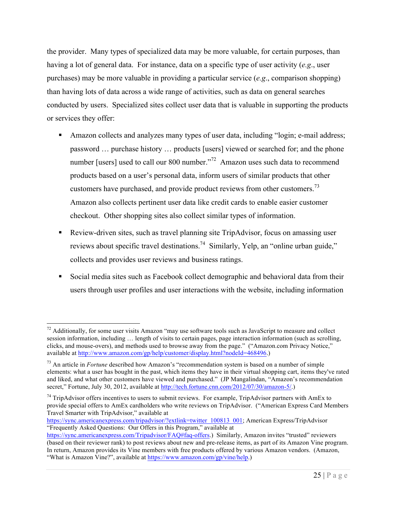the provider. Many types of specialized data may be more valuable, for certain purposes, than having a lot of general data. For instance, data on a specific type of user activity (*e.g*., user purchases) may be more valuable in providing a particular service (*e.g*., comparison shopping) than having lots of data across a wide range of activities, such as data on general searches conducted by users. Specialized sites collect user data that is valuable in supporting the products or services they offer:

- Amazon collects and analyzes many types of user data, including "login; e-mail address; password … purchase history … products [users] viewed or searched for; and the phone number [users] used to call our 800 number."<sup>72</sup> Amazon uses such data to recommend products based on a user's personal data, inform users of similar products that other customers have purchased, and provide product reviews from other customers.<sup>73</sup> Amazon also collects pertinent user data like credit cards to enable easier customer checkout. Other shopping sites also collect similar types of information.
- Review-driven sites, such as travel planning site TripAdvisor, focus on amassing user reviews about specific travel destinations.<sup>74</sup> Similarly, Yelp, an "online urban guide," collects and provides user reviews and business ratings.
- Social media sites such as Facebook collect demographic and behavioral data from their users through user profiles and user interactions with the website, including information

 $72$  Additionally, for some user visits Amazon "may use software tools such as JavaScript to measure and collect session information, including … length of visits to certain pages, page interaction information (such as scrolling, clicks, and mouse-overs), and methods used to browse away from the page." ("Amazon.com Privacy Notice," available at http://www.amazon.com/gp/help/customer/display.html?nodeId=468496.)

<sup>73</sup> An article in *Fortune* described how Amazon's "recommendation system is based on a number of simple elements: what a user has bought in the past, which items they have in their virtual shopping cart, items they've rated and liked, and what other customers have viewed and purchased." (JP Mangalindan, "Amazon's recommendation secret," Fortune, July 30, 2012, available at http://tech.fortune.cnn.com/2012/07/30/amazon-5/.)

 $74$  TripAdvisor offers incentives to users to submit reviews. For example, TripAdvisor partners with AmEx to provide special offers to AmEx cardholders who write reviews on TripAdvisor. ("American Express Card Members Travel Smarter with TripAdvisor," available at

https://sync.americanexpress.com/tripadvisor/?extlink=twitter\_100813\_001; American Express/TripAdvisor "Frequently Asked Questions: Our Offers in this Program," available at

https://sync.americanexpress.com/Tripadvisor/FAQ#faq-offers.) Similarly, Amazon invites "trusted" reviewers (based on their reviewer rank) to post reviews about new and pre-release items, as part of its Amazon Vine program. In return, Amazon provides its Vine members with free products offered by various Amazon vendors. (Amazon, "What is Amazon Vine?", available at https://www.amazon.com/gp/vine/help.)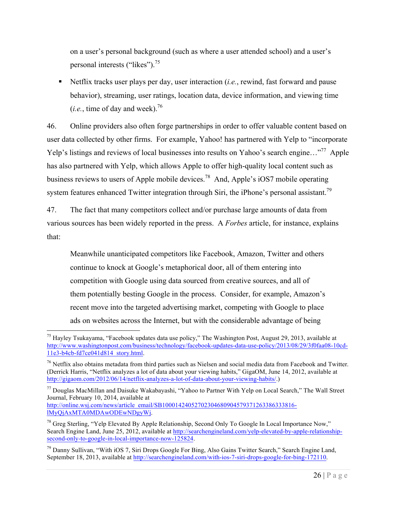on a user's personal background (such as where a user attended school) and a user's personal interests ("likes").<sup>75</sup>

§ Netflix tracks user plays per day, user interaction (*i.e.*, rewind, fast forward and pause behavior), streaming, user ratings, location data, device information, and viewing time  $(i.e., time of day and week).$ <sup>76</sup>

46. Online providers also often forge partnerships in order to offer valuable content based on user data collected by other firms. For example, Yahoo! has partnered with Yelp to "incorporate Yelp's listings and reviews of local businesses into results on Yahoo's search engine..."<sup>77</sup> Apple has also partnered with Yelp, which allows Apple to offer high-quality local content such as business reviews to users of Apple mobile devices.<sup>78</sup> And, Apple's iOS7 mobile operating system features enhanced Twitter integration through Siri, the iPhone's personal assistant.<sup>79</sup>

47. The fact that many competitors collect and/or purchase large amounts of data from various sources has been widely reported in the press. A *Forbes* article, for instance, explains that:

Meanwhile unanticipated competitors like Facebook, Amazon, Twitter and others continue to knock at Google's metaphorical door, all of them entering into competition with Google using data sourced from creative sources, and all of them potentially besting Google in the process. Consider, for example, Amazon's recent move into the targeted advertising market, competing with Google to place ads on websites across the Internet, but with the considerable advantage of being

<sup>77</sup> Douglas MacMillan and Daisuke Wakabayashi, "Yahoo to Partner With Yelp on Local Search," The Wall Street Journal, February 10, 2014, available at http://online.wsj.com/news/article\_email/SB10001424052702304680904579371263386333816lMyQjAxMTA0MDAwODEwNDgyWj.

 $75$  Hayley Tsukayama, "Facebook updates data use policy," The Washington Post, August 29, 2013, available at http://www.washingtonpost.com/business/technology/facebook-updates-data-use-policy/2013/08/29/3f0faa08-10cd-11e3-b4cb-fd7ce041d814\_story.html.

 $^{76}$  Netflix also obtains metadata from third parties such as Nielsen and social media data from Facebook and Twitter. (Derrick Harris, "Netflix analyzes a lot of data about your viewing habits," GigaOM, June 14, 2012, available at http://gigaom.com/2012/06/14/netflix-analyzes-a-lot-of-data-about-your-viewing-habits/.)

<sup>&</sup>lt;sup>78</sup> Greg Sterling, "Yelp Elevated By Apple Relationship, Second Only To Google In Local Importance Now," Search Engine Land, June 25, 2012, available at http://searchengineland.com/yelp-elevated-by-apple-relationshipsecond-only-to-google-in-local-importance-now-125824.

<sup>&</sup>lt;sup>79</sup> Danny Sullivan, "With iOS 7, Siri Drops Google For Bing, Also Gains Twitter Search," Search Engine Land, September 18, 2013, available at http://searchengineland.com/with-ios-7-siri-drops-google-for-bing-172110.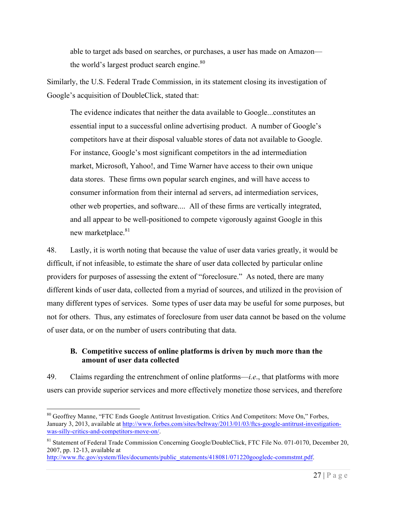able to target ads based on searches, or purchases, a user has made on Amazon the world's largest product search engine.<sup>80</sup>

Similarly, the U.S. Federal Trade Commission, in its statement closing its investigation of Google's acquisition of DoubleClick, stated that:

The evidence indicates that neither the data available to Google...constitutes an essential input to a successful online advertising product. A number of Google's competitors have at their disposal valuable stores of data not available to Google. For instance, Google's most significant competitors in the ad intermediation market, Microsoft, Yahoo!, and Time Warner have access to their own unique data stores. These firms own popular search engines, and will have access to consumer information from their internal ad servers, ad intermediation services, other web properties, and software.... All of these firms are vertically integrated, and all appear to be well-positioned to compete vigorously against Google in this new marketplace.<sup>81</sup>

48. Lastly, it is worth noting that because the value of user data varies greatly, it would be difficult, if not infeasible, to estimate the share of user data collected by particular online providers for purposes of assessing the extent of "foreclosure." As noted, there are many different kinds of user data, collected from a myriad of sources, and utilized in the provision of many different types of services. Some types of user data may be useful for some purposes, but not for others. Thus, any estimates of foreclosure from user data cannot be based on the volume of user data, or on the number of users contributing that data.

#### **B. Competitive success of online platforms is driven by much more than the amount of user data collected**

49. Claims regarding the entrenchment of online platforms—*i.e*., that platforms with more users can provide superior services and more effectively monetize those services, and therefore

<sup>&</sup>lt;sup>80</sup> Geoffrey Manne, "FTC Ends Google Antitrust Investigation. Critics And Competitors: Move On," Forbes, January 3, 2013, available at http://www.forbes.com/sites/beltway/2013/01/03/ftcs-google-antitrust-investigationwas-silly-critics-and-competitors-move-on/.

<sup>&</sup>lt;sup>81</sup> Statement of Federal Trade Commission Concerning Google/DoubleClick, FTC File No. 071-0170, December 20, 2007, pp. 12-13, available at

http://www.ftc.gov/system/files/documents/public\_statements/418081/071220googledc-commstmt.pdf.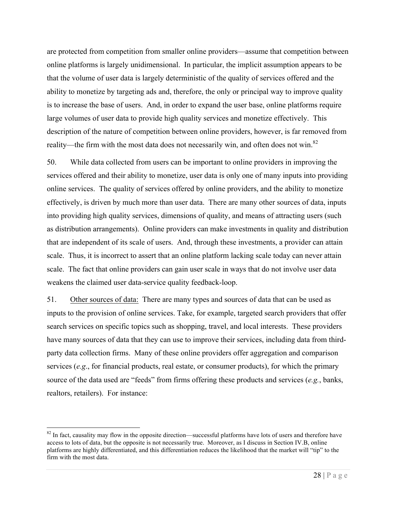are protected from competition from smaller online providers—assume that competition between online platforms is largely unidimensional. In particular, the implicit assumption appears to be that the volume of user data is largely deterministic of the quality of services offered and the ability to monetize by targeting ads and, therefore, the only or principal way to improve quality is to increase the base of users. And, in order to expand the user base, online platforms require large volumes of user data to provide high quality services and monetize effectively. This description of the nature of competition between online providers, however, is far removed from reality—the firm with the most data does not necessarily win, and often does not win.<sup>82</sup>

50. While data collected from users can be important to online providers in improving the services offered and their ability to monetize, user data is only one of many inputs into providing online services. The quality of services offered by online providers, and the ability to monetize effectively, is driven by much more than user data. There are many other sources of data, inputs into providing high quality services, dimensions of quality, and means of attracting users (such as distribution arrangements). Online providers can make investments in quality and distribution that are independent of its scale of users. And, through these investments, a provider can attain scale. Thus, it is incorrect to assert that an online platform lacking scale today can never attain scale. The fact that online providers can gain user scale in ways that do not involve user data weakens the claimed user data-service quality feedback-loop.

51. Other sources of data: There are many types and sources of data that can be used as inputs to the provision of online services. Take, for example, targeted search providers that offer search services on specific topics such as shopping, travel, and local interests. These providers have many sources of data that they can use to improve their services, including data from thirdparty data collection firms. Many of these online providers offer aggregation and comparison services (*e.g*., for financial products, real estate, or consumer products), for which the primary source of the data used are "feeds" from firms offering these products and services (*e.g.*, banks, realtors, retailers). For instance:

 $82$  In fact, causality may flow in the opposite direction—successful platforms have lots of users and therefore have access to lots of data, but the opposite is not necessarily true. Moreover, as I discuss in Section IV.B, online platforms are highly differentiated, and this differentiation reduces the likelihood that the market will "tip" to the firm with the most data.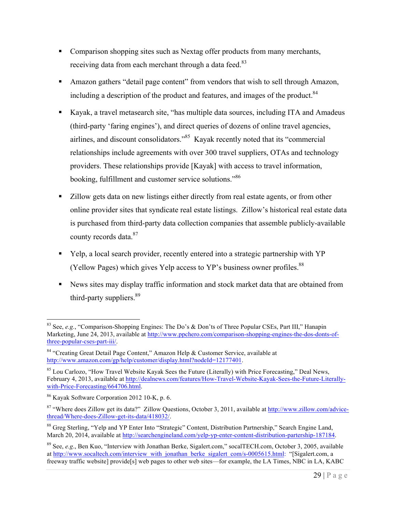- Comparison shopping sites such as Nextag offer products from many merchants, receiving data from each merchant through a data feed.<sup>83</sup>
- Amazon gathers "detail page content" from vendors that wish to sell through Amazon, including a description of the product and features, and images of the product.<sup>84</sup>
- § Kayak, a travel metasearch site, "has multiple data sources, including ITA and Amadeus (third-party 'faring engines'), and direct queries of dozens of online travel agencies, airlines, and discount consolidators."85 Kayak recently noted that its "commercial relationships include agreements with over 300 travel suppliers, OTAs and technology providers. These relationships provide [Kayak] with access to travel information, booking, fulfillment and customer service solutions."86
- Zillow gets data on new listings either directly from real estate agents, or from other online provider sites that syndicate real estate listings. Zillow's historical real estate data is purchased from third-party data collection companies that assemble publicly-available county records data.<sup>87</sup>
- § Yelp, a local search provider, recently entered into a strategic partnership with YP (Yellow Pages) which gives Yelp access to YP's business owner profiles.<sup>88</sup>
- News sites may display traffic information and stock market data that are obtained from third-party suppliers.<sup>89</sup>

 <sup>83</sup> See, *e.g.*, "Comparison-Shopping Engines: The Do's & Don'ts of Three Popular CSEs, Part III," Hanapin Marketing, June 24, 2013, available at http://www.ppchero.com/comparison-shopping-engines-the-dos-donts-ofthree-popular-cses-part-iii/.

<sup>84 &</sup>quot;Creating Great Detail Page Content," Amazon Help & Customer Service, available at http://www.amazon.com/gp/help/customer/display.html?nodeId=12177401.

<sup>85</sup> Lou Carlozo, "How Travel Website Kayak Sees the Future (Literally) with Price Forecasting," Deal News, February 4, 2013, available at http://dealnews.com/features/How-Travel-Website-Kayak-Sees-the-Future-Literallywith-Price-Forecasting/664706.html.

<sup>86</sup> Kayak Software Corporation 2012 10-K, p. 6.

<sup>&</sup>lt;sup>87</sup> "Where does Zillow get its data?" Zillow Questions, October 3, 2011, available at http://www.zillow.com/advicethread/Where-does-Zillow-get-its-data/418032/.

<sup>&</sup>lt;sup>88</sup> Greg Sterling, "Yelp and YP Enter Into "Strategic" Content, Distribution Partnership," Search Engine Land, March 20, 2014, available at http://searchengineland.com/yelp-yp-enter-content-distribution-partership-187184.

<sup>89</sup> See, *e.g*., Ben Kuo, "Interview with Jonathan Berke, Sigalert.com," socalTECH.com, October 3, 2005, available at http://www.socaltech.com/interview\_with\_jonathan\_berke\_sigalert\_com/s-0005615.html: "[Sigalert.com, a freeway traffic website] provide[s] web pages to other web sites—for example, the LA Times, NBC in LA, KABC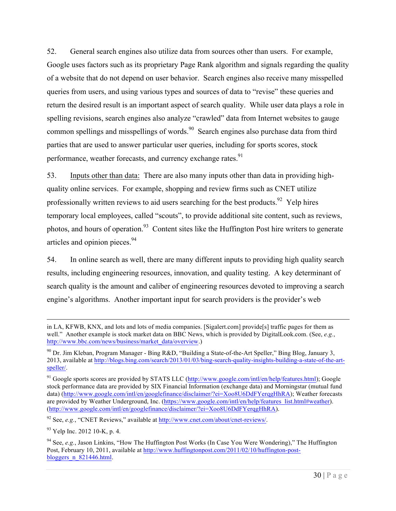52. General search engines also utilize data from sources other than users. For example, Google uses factors such as its proprietary Page Rank algorithm and signals regarding the quality of a website that do not depend on user behavior. Search engines also receive many misspelled queries from users, and using various types and sources of data to "revise" these queries and return the desired result is an important aspect of search quality. While user data plays a role in spelling revisions, search engines also analyze "crawled" data from Internet websites to gauge common spellings and misspellings of words.<sup>90</sup> Search engines also purchase data from third parties that are used to answer particular user queries, including for sports scores, stock performance, weather forecasts, and currency exchange rates.<sup>91</sup>

53. Inputs other than data: There are also many inputs other than data in providing highquality online services. For example, shopping and review firms such as CNET utilize professionally written reviews to aid users searching for the best products.<sup>92</sup> Yelp hires temporary local employees, called "scouts", to provide additional site content, such as reviews, photos, and hours of operation.<sup>93</sup> Content sites like the Huffington Post hire writers to generate articles and opinion pieces.<sup>94</sup>

54. In online search as well, there are many different inputs to providing high quality search results, including engineering resources, innovation, and quality testing. A key determinant of search quality is the amount and caliber of engineering resources devoted to improving a search engine's algorithms. Another important input for search providers is the provider's web

<sup>92</sup> See, *e.g.*, "CNET Reviews," available at http://www.cnet.com/about/cnet-reviews/.

 $93$  Yelp Inc. 2012 10-K, p. 4.

in LA, KFWB, KNX, and lots and lots of media companies. [Sigalert.com] provide[s] traffic pages for them as well." Another example is stock market data on BBC News, which is provided by DigitalLook.com. (See, *e.g.*, http://www.bbc.com/news/business/market\_data/overview.)

<sup>90</sup> Dr. Jim Kleban, Program Manager - Bing R&D, "Building a State-of-the-Art Speller," Bing Blog, January 3, 2013, available at http://blogs.bing.com/search/2013/01/03/bing-search-quality-insights-building-a-state-of-the-artspeller/.

<sup>&</sup>lt;sup>91</sup> Google sports scores are provided by STATS LLC (http://www.google.com/intl/en/help/features.html); Google stock performance data are provided by SIX Financial Information (exchange data) and Morningstar (mutual fund data) (http://www.google.com/intl/en/googlefinance/disclaimer/?ei=Xoo8U6DdFYerqgHhRA); Weather forecasts are provided by Weather Underground, Inc. (https://www.google.com/intl/en/help/features\_list.html#weather). (http://www.google.com/intl/en/googlefinance/disclaimer/?ei=Xoo8U6DdFYerqgHhRA).

<sup>94</sup> See, *e.g.*, Jason Linkins, "How The Huffington Post Works (In Case You Were Wondering)," The Huffington Post, February 10, 2011, available at http://www.huffingtonpost.com/2011/02/10/huffington-postbloggers\_n\_821446.html.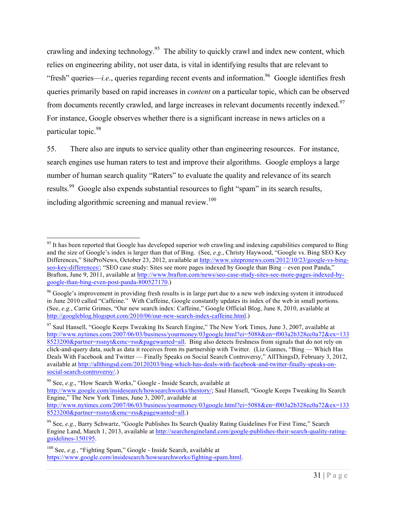crawling and indexing technology.<sup>95</sup> The ability to quickly crawl and index new content, which relies on engineering ability, not user data, is vital in identifying results that are relevant to "fresh" queries—*i.e*., queries regarding recent events and information. 96 Google identifies fresh queries primarily based on rapid increases in *content* on a particular topic, which can be observed from documents recently crawled, and large increases in relevant documents recently indexed.<sup>97</sup> For instance, Google observes whether there is a significant increase in news articles on a particular topic.<sup>98</sup>

55. There also are inputs to service quality other than engineering resources. For instance, search engines use human raters to test and improve their algorithms. Google employs a large number of human search quality "Raters" to evaluate the quality and relevance of its search results.<sup>99</sup> Google also expends substantial resources to fight "spam" in its search results, including algorithmic screening and manual review.<sup>100</sup>

 $95$  It has been reported that Google has developed superior web crawling and indexing capabilities compared to Bing and the size of Google's index is larger than that of Bing. (See, *e.g*., Christy Haywood, "Google vs. Bing SEO Key Differences," SiteProNews, October 23, 2012, available at http://www.sitepronews.com/2012/10/23/google-vs-bingseo-key-differences/; "SEO case study: Sites see more pages indexed by Google than Bing – even post Panda," Brafton, June 9, 2011, available at http://www.brafton.com/news/seo-case-study-sites-see-more-pages-indexed-bygoogle-than-bing-even-post-panda-800527170.)

<sup>&</sup>lt;sup>96</sup> Google's improvement in providing fresh results is in large part due to a new web indexing system it introduced in June 2010 called "Caffeine." With Caffeine, Google constantly updates its index of the web in small portions. (See, *e.g.*, Carrie Grimes, "Our new search index: Caffeine," Google Official Blog, June 8, 2010, available at http://googleblog.blogspot.com/2010/06/our-new-search-index-caffeine.html.)

<sup>&</sup>lt;sup>97</sup> Saul Hansell, "Google Keeps Tweaking Its Search Engine," The New York Times, June 3, 2007, available at http://www.nytimes.com/2007/06/03/business/yourmoney/03google.html?ei=5088&en=f003a2b328ec0a72&ex=133 8523200&partner=rssnyt&emc=rss&pagewanted=all. Bing also detects freshness from signals that do not rely on click-and-query data, such as data it receives from its partnership with Twitter. (Liz Gannes, "Bing — Which Has Deals With Facebook and Twitter — Finally Speaks on Social Search Controversy," AllThingsD, February 3, 2012, available at http://allthingsd.com/20120203/bing-which-has-deals-with-facebook-and-twitter-finally-speaks-onsocial-search-controversy/.)

<sup>98</sup> See, *e.g*., "How Search Works," Google - Inside Search, available at

http://www.google.com/insidesearch/howsearchworks/thestory/; Saul Hansell, "Google Keeps Tweaking Its Search Engine," The New York Times, June 3, 2007, available at http://www.nytimes.com/2007/06/03/business/yourmoney/03google.html?ei=5088&en=f003a2b328ec0a72&ex=133

<sup>8523200&</sup>amp;partner=rssnyt&emc=rss&pagewanted=all.)

<sup>99</sup> See, *e.g.*, Barry Schwartz, "Google Publishes Its Search Quality Rating Guidelines For First Time," Search Engine Land, March 1, 2013, available at http://searchengineland.com/google-publishes-their-search-quality-ratingguidelines-150195.

<sup>100</sup> See, *e.g.*, "Fighting Spam," Google - Inside Search, available at https://www.google.com/insidesearch/howsearchworks/fighting-spam.html.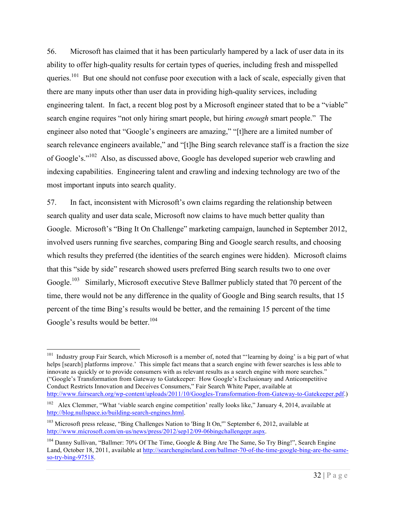56. Microsoft has claimed that it has been particularly hampered by a lack of user data in its ability to offer high-quality results for certain types of queries, including fresh and misspelled queries.<sup>101</sup> But one should not confuse poor execution with a lack of scale, especially given that there are many inputs other than user data in providing high-quality services, including engineering talent. In fact, a recent blog post by a Microsoft engineer stated that to be a "viable" search engine requires "not only hiring smart people, but hiring *enough* smart people." The engineer also noted that "Google's engineers are amazing," "[t]here are a limited number of search relevance engineers available," and "[t]he Bing search relevance staff is a fraction the size of Google's."102 Also, as discussed above, Google has developed superior web crawling and indexing capabilities. Engineering talent and crawling and indexing technology are two of the most important inputs into search quality.

57. In fact, inconsistent with Microsoft's own claims regarding the relationship between search quality and user data scale, Microsoft now claims to have much better quality than Google. Microsoft's "Bing It On Challenge" marketing campaign, launched in September 2012, involved users running five searches, comparing Bing and Google search results, and choosing which results they preferred (the identities of the search engines were hidden). Microsoft claims that this "side by side" research showed users preferred Bing search results two to one over Google.<sup>103</sup> Similarly, Microsoft executive Steve Ballmer publicly stated that 70 percent of the time, there would not be any difference in the quality of Google and Bing search results, that 15 percent of the time Bing's results would be better, and the remaining 15 percent of the time Google's results would be better.<sup>104</sup>

<sup>&</sup>lt;sup>101</sup> Industry group Fair Search, which Microsoft is a member of, noted that "'learning by doing' is a big part of what helps [search] platforms improve.' This simple fact means that a search engine with fewer searches is less able to innovate as quickly or to provide consumers with as relevant results as a search engine with more searches." ("Google's Transformation from Gateway to Gatekeeper: How Google's Exclusionary and Anticompetitive Conduct Restricts Innovation and Deceives Consumers," Fair Search White Paper, available at http://www.fairsearch.org/wp-content/uploads/2011/10/Googles-Transformation-from-Gateway-to-Gatekeeper.pdf.)

<sup>&</sup>lt;sup>102</sup> Alex Clemmer, "What 'viable search engine competition' really looks like," January 4, 2014, available at http://blog.nullspace.io/building-search-engines.html.

<sup>&</sup>lt;sup>103</sup> Microsoft press release, "Bing Challenges Nation to 'Bing It On," September 6, 2012, available at http://www.microsoft.com/en-us/news/press/2012/sep12/09-06bingchallengepr.aspx.

<sup>&</sup>lt;sup>104</sup> Danny Sullivan, "Ballmer: 70% Of The Time, Google & Bing Are The Same, So Try Bing!", Search Engine Land, October 18, 2011, available at http://searchengineland.com/ballmer-70-of-the-time-google-bing-are-the-sameso-try-bing-97518.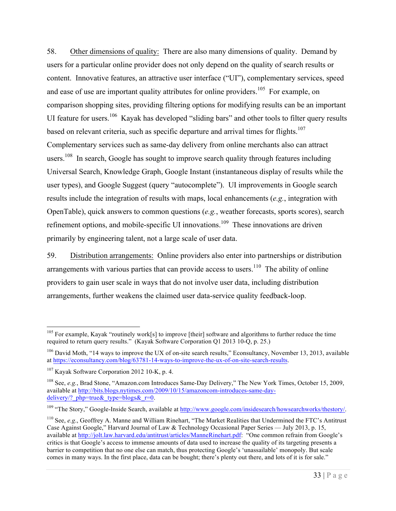58. Other dimensions of quality: There are also many dimensions of quality. Demand by users for a particular online provider does not only depend on the quality of search results or content. Innovative features, an attractive user interface ("UI"), complementary services, speed and ease of use are important quality attributes for online providers.<sup>105</sup> For example, on comparison shopping sites, providing filtering options for modifying results can be an important UI feature for users.<sup>106</sup> Kayak has developed "sliding bars" and other tools to filter query results based on relevant criteria, such as specific departure and arrival times for flights.<sup>107</sup> Complementary services such as same-day delivery from online merchants also can attract users.<sup>108</sup> In search, Google has sought to improve search quality through features including Universal Search, Knowledge Graph, Google Instant (instantaneous display of results while the user types), and Google Suggest (query "autocomplete"). UI improvements in Google search results include the integration of results with maps, local enhancements (*e.g.*, integration with OpenTable), quick answers to common questions (*e.g.*, weather forecasts, sports scores), search refinement options, and mobile-specific UI innovations.<sup>109</sup> These innovations are driven primarily by engineering talent, not a large scale of user data.

59. Distribution arrangements: Online providers also enter into partnerships or distribution arrangements with various parties that can provide access to users.<sup>110</sup> The ability of online providers to gain user scale in ways that do not involve user data, including distribution arrangements, further weakens the claimed user data-service quality feedback-loop.

<sup>&</sup>lt;sup>105</sup> For example, Kayak "routinely work[s] to improve [their] software and algorithms to further reduce the time required to return query results." (Kayak Software Corporation Q1 2013 10-Q, p. 25.)

<sup>&</sup>lt;sup>106</sup> David Moth, "14 ways to improve the UX of on-site search results," Econsultancy, November 13, 2013, available at https://econsultancy.com/blog/63781-14-ways-to-improve-the-ux-of-on-site-search-results.

 $107$  Kayak Software Corporation 2012 10-K, p. 4.

<sup>108</sup> See, *e.g.*, Brad Stone, "Amazon.com Introduces Same-Day Delivery," The New York Times, October 15, 2009, available at http://bits.blogs.nytimes.com/2009/10/15/amazoncom-introduces-same-daydelivery/?  $php=true$ & type=blogs& r=0.

<sup>&</sup>lt;sup>109</sup> "The Story," Google-Inside Search, available at http://www.google.com/insidesearch/howsearchworks/thestory/.

<sup>110</sup> See, *e.g*., Geoffrey A. Manne and William Rinehart, "The Market Realities that Undermined the FTC's Antitrust Case Against Google," Harvard Journal of Law & Technology Occasional Paper Series — July 2013, p. 15, available at http://jolt.law.harvard.edu/antitrust/articles/ManneRinehart.pdf: "One common refrain from Google's critics is that Google's access to immense amounts of data used to increase the quality of its targeting presents a barrier to competition that no one else can match, thus protecting Google's 'unassailable' monopoly. But scale comes in many ways. In the first place, data can be bought; there's plenty out there, and lots of it is for sale."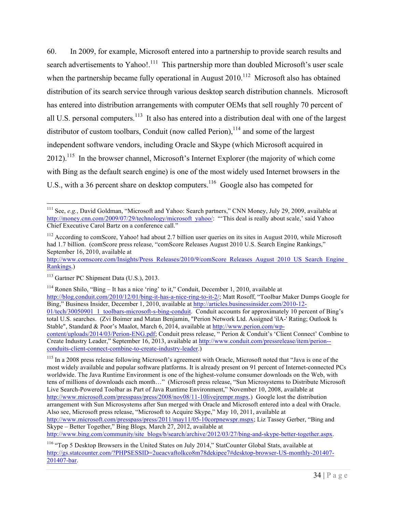60. In 2009, for example, Microsoft entered into a partnership to provide search results and search advertisements to Yahoo! $^{111}$  This partnership more than doubled Microsoft's user scale when the partnership became fully operational in August  $2010$ <sup>112</sup> Microsoft also has obtained distribution of its search service through various desktop search distribution channels. Microsoft has entered into distribution arrangements with computer OEMs that sell roughly 70 percent of all U.S. personal computers.<sup>113</sup> It also has entered into a distribution deal with one of the largest distributor of custom toolbars, Conduit (now called Perion),  $114$  and some of the largest independent software vendors, including Oracle and Skype (which Microsoft acquired in  $2012$ ).<sup>115</sup> In the browser channel, Microsoft's Internet Explorer (the majority of which come with Bing as the default search engine) is one of the most widely used Internet browsers in the U.S., with a 36 percent share on desktop computers.<sup>116</sup> Google also has competed for

<sup>114</sup> Ronen Shilo, "Bing – It has a nice 'ring' to it," Conduit, December 1, 2010, available at http://blog.conduit.com/2010/12/01/bing-it-has-a-nice-ring-to-it-2/; Matt Rosoff, "Toolbar Maker Dumps Google for Bing," Business Insider, December 1, 2010, available at http://articles.businessinsider.com/2010-12- 01/tech/30050901\_1\_toolbars-microsoft-s-bing-conduit. Conduit accounts for approximately 10 percent of Bing's total U.S. searches. (Zvi Boimer and Matan Benjamin, "Perion Network Ltd. Assigned 'ilA-' Rating; Outlook Is Stable", Standard & Poor's Maalot, March 6, 2014, available at http://www.perion.com/wpcontent/uploads/2014/03/Perion-ENG.pdf; Conduit press release, " Perion & Conduit's 'Client Connect' Combine to Create Industry Leader," September 16, 2013, available at http://www.conduit.com/pressrelease/item/perion- conduits-client-connect-combine-to-create-industry-leader.)

<sup>115</sup> In a 2008 press release following Microsoft's agreement with Oracle, Microsoft noted that "Java is one of the most widely available and popular software platforms. It is already present on 91 percent of Internet-connected PCs worldwide. The Java Runtime Environment is one of the highest-volume consumer downloads on the Web, with tens of millions of downloads each month…" (Microsoft press release, "Sun Microsystems to Distribute Microsoft Live Search-Powered Toolbar as Part of Java Runtime Environment," November 10, 2008, available at http://www.microsoft.com/presspass/press/2008/nov08/11-10livejrempr.mspx.) Google lost the distribution arrangement with Sun Microsystems after Sun merged with Oracle and Microsoft entered into a deal with Oracle. Also see, Microsoft press release, "Microsoft to Acquire Skype," May 10, 2011, available at http://www.microsoft.com/presspass/press/2011/may11/05-10corpnewspr.mspx; Liz Tassey Gerber, "Bing and Skype – Better Together," Bing Blogs*,* March 27, 2012, available at http://www.bing.com/community/site\_blogs/b/search/archive/2012/03/27/bing-and-skype-better-together.aspx.

<sup>&</sup>lt;sup>111</sup> See, *e.g.*, David Goldman, "Microsoft and Yahoo: Search partners," CNN Money, July 29, 2009, available at http://money.cnn.com/2009/07/29/technology/microsoft\_yahoo/: "'This deal is really about scale,' said Yahoo Chief Executive Carol Bartz on a conference call."

 $112$  According to comScore, Yahoo! had about 2.7 billion user queries on its sites in August 2010, while Microsoft had 1.7 billion. (comScore press release, "comScore Releases August 2010 U.S. Search Engine Rankings," September 16, 2010, available at

http://www.comscore.com/Insights/Press\_Releases/2010/9/comScore\_Releases\_August\_2010\_US\_Search\_Engine Rankings.)

<sup>&</sup>lt;sup>113</sup> Gartner PC Shipment Data (U.S.), 2013.

<sup>116</sup> "Top 5 Desktop Browsers in the United States on July 2014," StatCounter Global Stats, available at http://gs.statcounter.com/?PHPSESSID=2ueacvaftolkco8m78dekipee7#desktop-browser-US-monthly-201407- 201407-bar.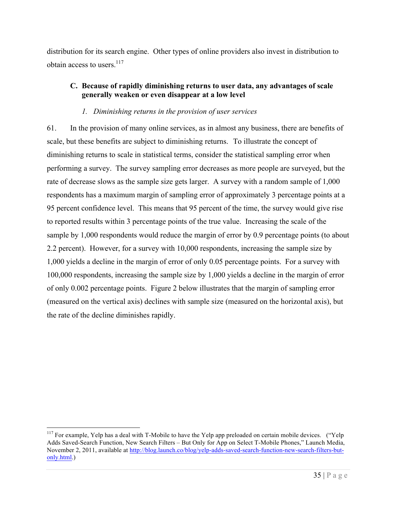distribution for its search engine. Other types of online providers also invest in distribution to obtain access to users. $117$ 

### **C. Because of rapidly diminishing returns to user data, any advantages of scale generally weaken or even disappear at a low level**

### *1. Diminishing returns in the provision of user services*

61. In the provision of many online services, as in almost any business, there are benefits of scale, but these benefits are subject to diminishing returns. To illustrate the concept of diminishing returns to scale in statistical terms, consider the statistical sampling error when performing a survey. The survey sampling error decreases as more people are surveyed, but the rate of decrease slows as the sample size gets larger. A survey with a random sample of 1,000 respondents has a maximum margin of sampling error of approximately 3 percentage points at a 95 percent confidence level. This means that 95 percent of the time, the survey would give rise to reported results within 3 percentage points of the true value. Increasing the scale of the sample by 1,000 respondents would reduce the margin of error by 0.9 percentage points (to about 2.2 percent). However, for a survey with 10,000 respondents, increasing the sample size by 1,000 yields a decline in the margin of error of only 0.05 percentage points. For a survey with 100,000 respondents, increasing the sample size by 1,000 yields a decline in the margin of error of only 0.002 percentage points. Figure 2 below illustrates that the margin of sampling error (measured on the vertical axis) declines with sample size (measured on the horizontal axis), but the rate of the decline diminishes rapidly.

<sup>&</sup>lt;sup>117</sup> For example, Yelp has a deal with T-Mobile to have the Yelp app preloaded on certain mobile devices. ("Yelp Adds Saved-Search Function, New Search Filters – But Only for App on Select T-Mobile Phones," Launch Media, November 2, 2011, available at http://blog.launch.co/blog/yelp-adds-saved-search-function-new-search-filters-butonly.html.)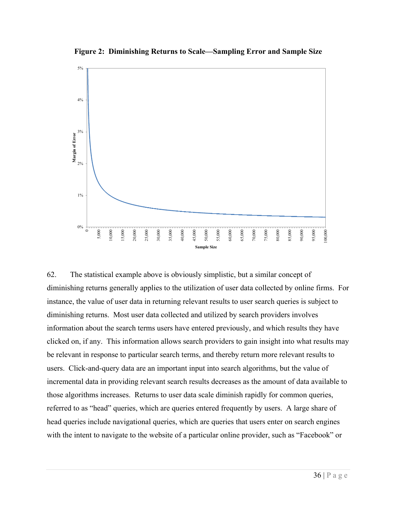**Figure 2: Diminishing Returns to Scale—Sampling Error and Sample Size**



62. The statistical example above is obviously simplistic, but a similar concept of diminishing returns generally applies to the utilization of user data collected by online firms. For instance, the value of user data in returning relevant results to user search queries is subject to diminishing returns. Most user data collected and utilized by search providers involves information about the search terms users have entered previously, and which results they have clicked on, if any. This information allows search providers to gain insight into what results may be relevant in response to particular search terms, and thereby return more relevant results to users. Click-and-query data are an important input into search algorithms, but the value of incremental data in providing relevant search results decreases as the amount of data available to those algorithms increases. Returns to user data scale diminish rapidly for common queries, referred to as "head" queries, which are queries entered frequently by users. A large share of head queries include navigational queries, which are queries that users enter on search engines with the intent to navigate to the website of a particular online provider, such as "Facebook" or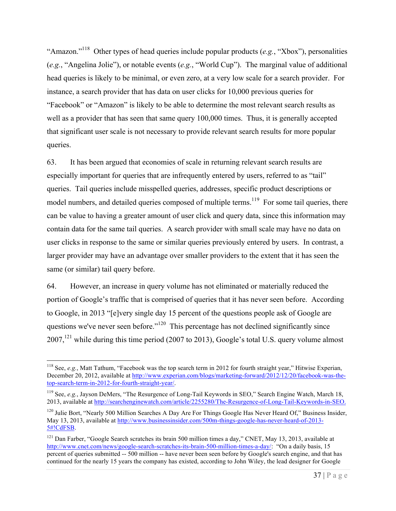"Amazon."118 Other types of head queries include popular products (*e.g.*, "Xbox"), personalities (*e.g.*, "Angelina Jolie"), or notable events (*e.g.*, "World Cup"). The marginal value of additional head queries is likely to be minimal, or even zero, at a very low scale for a search provider. For instance, a search provider that has data on user clicks for 10,000 previous queries for "Facebook" or "Amazon" is likely to be able to determine the most relevant search results as well as a provider that has seen that same query 100,000 times. Thus, it is generally accepted that significant user scale is not necessary to provide relevant search results for more popular queries.

63. It has been argued that economies of scale in returning relevant search results are especially important for queries that are infrequently entered by users, referred to as "tail" queries. Tail queries include misspelled queries, addresses, specific product descriptions or model numbers, and detailed queries composed of multiple terms.<sup>119</sup> For some tail queries, there can be value to having a greater amount of user click and query data, since this information may contain data for the same tail queries. A search provider with small scale may have no data on user clicks in response to the same or similar queries previously entered by users. In contrast, a larger provider may have an advantage over smaller providers to the extent that it has seen the same (or similar) tail query before.

64. However, an increase in query volume has not eliminated or materially reduced the portion of Google's traffic that is comprised of queries that it has never seen before. According to Google, in 2013 "[e]very single day 15 percent of the questions people ask of Google are questions we've never seen before."<sup>120</sup> This percentage has not declined significantly since  $2007$ ,<sup>121</sup> while during this time period (2007 to 2013), Google's total U.S. query volume almost

<sup>&</sup>lt;sup>118</sup> See, *e.g.*, Matt Tathum, "Facebook was the top search term in 2012 for fourth straight year," Hitwise Experian, December 20, 2012, available at http://www.experian.com/blogs/marketing-forward/2012/12/20/facebook-was-thetop-search-term-in-2012-for-fourth-straight-year/.

<sup>&</sup>lt;sup>119</sup> See, *e.g.*, Jayson DeMers, "The Resurgence of Long-Tail Keywords in SEO," Search Engine Watch, March 18, 2013, available at http://searchenginewatch.com/article/2255280/The-Resurgence-of-Long-Tail-Keywords-in-SEO.

<sup>&</sup>lt;sup>120</sup> Julie Bort, "Nearly 500 Million Searches A Day Are For Things Google Has Never Heard Of," Business Insider, May 13, 2013, available at http://www.businessinsider.com/500m-things-google-has-never-heard-of-2013- 5#!CdFSB.

<sup>&</sup>lt;sup>121</sup> Dan Farber, "Google Search scratches its brain 500 million times a day," CNET, May 13, 2013, available at http://www.cnet.com/news/google-search-scratches-its-brain-500-million-times-a-day/: "On a daily basis, 15 percent of queries submitted -- 500 million -- have never been seen before by Google's search engine, and that has continued for the nearly 15 years the company has existed, according to John Wiley, the lead designer for Google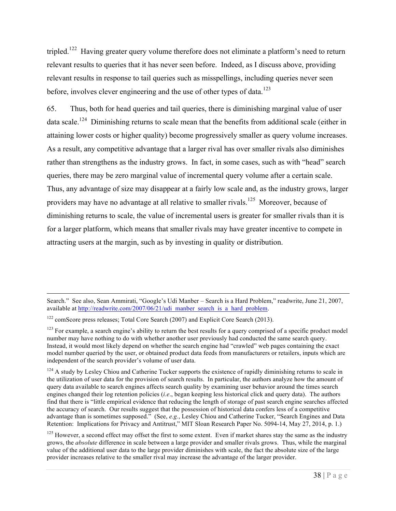tripled.<sup>122</sup> Having greater query volume therefore does not eliminate a platform's need to return relevant results to queries that it has never seen before. Indeed, as I discuss above, providing relevant results in response to tail queries such as misspellings, including queries never seen before, involves clever engineering and the use of other types of data.<sup>123</sup>

65. Thus, both for head queries and tail queries, there is diminishing marginal value of user data scale.<sup>124</sup> Diminishing returns to scale mean that the benefits from additional scale (either in attaining lower costs or higher quality) become progressively smaller as query volume increases. As a result, any competitive advantage that a larger rival has over smaller rivals also diminishes rather than strengthens as the industry grows. In fact, in some cases, such as with "head" search queries, there may be zero marginal value of incremental query volume after a certain scale. Thus, any advantage of size may disappear at a fairly low scale and, as the industry grows, larger providers may have no advantage at all relative to smaller rivals.<sup>125</sup> Moreover, because of diminishing returns to scale, the value of incremental users is greater for smaller rivals than it is for a larger platform, which means that smaller rivals may have greater incentive to compete in attracting users at the margin, such as by investing in quality or distribution.

Search." See also, Sean Ammirati, "Google's Udi Manber – Search is a Hard Problem," readwrite, June 21, 2007, available at http://readwrite.com/2007/06/21/udi\_manber\_search\_is\_a\_hard\_problem.

<sup>&</sup>lt;sup>122</sup> comScore press releases; Total Core Search (2007) and Explicit Core Search (2013).

 $123$  For example, a search engine's ability to return the best results for a query comprised of a specific product model number may have nothing to do with whether another user previously had conducted the same search query. Instead, it would most likely depend on whether the search engine had "crawled" web pages containing the exact model number queried by the user, or obtained product data feeds from manufacturers or retailers, inputs which are independent of the search provider's volume of user data.

<sup>&</sup>lt;sup>124</sup> A study by Lesley Chiou and Catherine Tucker supports the existence of rapidly diminishing returns to scale in the utilization of user data for the provision of search results. In particular, the authors analyze how the amount of query data available to search engines affects search quality by examining user behavior around the times search engines changed their log retention policies (*i.e*., began keeping less historical click and query data). The authors find that there is "little empirical evidence that reducing the length of storage of past search engine searches affected the accuracy of search. Our results suggest that the possession of historical data confers less of a competitive advantage than is sometimes supposed." (See, *e.g.*, Lesley Chiou and Catherine Tucker, "Search Engines and Data Retention: Implications for Privacy and Antitrust," MIT Sloan Research Paper No. 5094-14, May 27, 2014, p. 1.)

 $125$  However, a second effect may offset the first to some extent. Even if market shares stay the same as the industry grows, the *absolute* difference in scale between a large provider and smaller rivals grows. Thus, while the marginal value of the additional user data to the large provider diminishes with scale, the fact the absolute size of the large provider increases relative to the smaller rival may increase the advantage of the larger provider.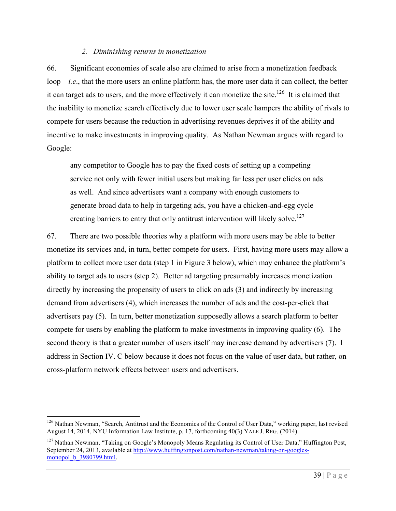#### *2. Diminishing returns in monetization*

66. Significant economies of scale also are claimed to arise from a monetization feedback loop—*i.e*., that the more users an online platform has, the more user data it can collect, the better it can target ads to users, and the more effectively it can monetize the site.<sup>126</sup> It is claimed that the inability to monetize search effectively due to lower user scale hampers the ability of rivals to compete for users because the reduction in advertising revenues deprives it of the ability and incentive to make investments in improving quality. As Nathan Newman argues with regard to Google:

any competitor to Google has to pay the fixed costs of setting up a competing service not only with fewer initial users but making far less per user clicks on ads as well. And since advertisers want a company with enough customers to generate broad data to help in targeting ads, you have a chicken-and-egg cycle creating barriers to entry that only antitrust intervention will likely solve.<sup>127</sup>

67. There are two possible theories why a platform with more users may be able to better monetize its services and, in turn, better compete for users. First, having more users may allow a platform to collect more user data (step 1 in Figure 3 below), which may enhance the platform's ability to target ads to users (step 2). Better ad targeting presumably increases monetization directly by increasing the propensity of users to click on ads (3) and indirectly by increasing demand from advertisers (4), which increases the number of ads and the cost-per-click that advertisers pay (5). In turn, better monetization supposedly allows a search platform to better compete for users by enabling the platform to make investments in improving quality (6). The second theory is that a greater number of users itself may increase demand by advertisers (7). I address in Section IV. C below because it does not focus on the value of user data, but rather, on cross-platform network effects between users and advertisers.

<sup>&</sup>lt;sup>126</sup> Nathan Newman, "Search, Antitrust and the Economics of the Control of User Data," working paper, last revised August 14, 2014, NYU Information Law Institute, p. 17, forthcoming 40(3) YALE J. REG. (2014).

<sup>&</sup>lt;sup>127</sup> Nathan Newman, "Taking on Google's Monopoly Means Regulating its Control of User Data," Huffington Post, September 24, 2013, available at http://www.huffingtonpost.com/nathan-newman/taking-on-googlesmonopol b 3980799.html.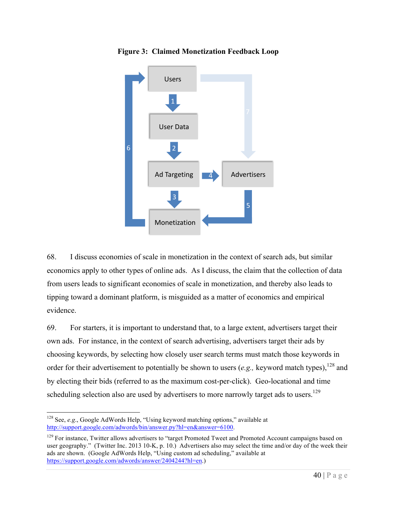

**Figure 3: Claimed Monetization Feedback Loop**

68. I discuss economies of scale in monetization in the context of search ads, but similar economics apply to other types of online ads. As I discuss, the claim that the collection of data from users leads to significant economies of scale in monetization, and thereby also leads to tipping toward a dominant platform, is misguided as a matter of economics and empirical evidence.

69. For starters, it is important to understand that, to a large extent, advertisers target their own ads. For instance, in the context of search advertising, advertisers target their ads by choosing keywords, by selecting how closely user search terms must match those keywords in order for their advertisement to potentially be shown to users (*e.g.*, keyword match types).<sup>128</sup> and by electing their bids (referred to as the maximum cost-per-click). Geo-locational and time scheduling selection also are used by advertisers to more narrowly target ads to users.<sup>129</sup>

 <sup>128</sup> See, *e.g*., Google AdWords Help, "Using keyword matching options," available at http://support.google.com/adwords/bin/answer.py?hl=en&answer=6100.

<sup>&</sup>lt;sup>129</sup> For instance, Twitter allows advertisers to "target Promoted Tweet and Promoted Account campaigns based on user geography." (Twitter Inc. 2013 10-K, p. 10.) Advertisers also may select the time and/or day of the week their ads are shown. (Google AdWords Help, "Using custom ad scheduling," available at https://support.google.com/adwords/answer/2404244?hl=en.)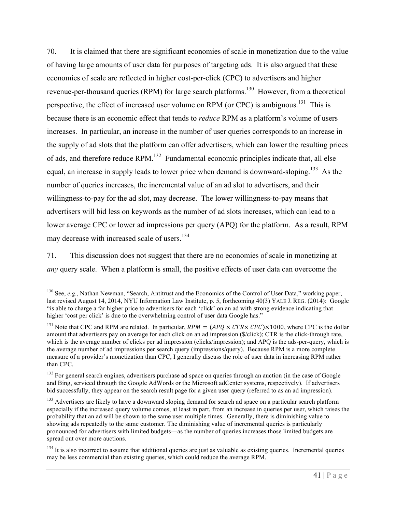70. It is claimed that there are significant economies of scale in monetization due to the value of having large amounts of user data for purposes of targeting ads. It is also argued that these economies of scale are reflected in higher cost-per-click (CPC) to advertisers and higher revenue-per-thousand queries (RPM) for large search platforms.<sup>130</sup> However, from a theoretical perspective, the effect of increased user volume on RPM (or CPC) is ambiguous.<sup>131</sup> This is because there is an economic effect that tends to *reduce* RPM as a platform's volume of users increases. In particular, an increase in the number of user queries corresponds to an increase in the supply of ad slots that the platform can offer advertisers, which can lower the resulting prices of ads, and therefore reduce RPM.<sup>132</sup> Fundamental economic principles indicate that, all else equal, an increase in supply leads to lower price when demand is downward-sloping.<sup>133</sup> As the number of queries increases, the incremental value of an ad slot to advertisers, and their willingness-to-pay for the ad slot, may decrease. The lower willingness-to-pay means that advertisers will bid less on keywords as the number of ad slots increases, which can lead to a lower average CPC or lower ad impressions per query (APQ) for the platform. As a result, RPM may decrease with increased scale of users. 134

71. This discussion does not suggest that there are no economies of scale in monetizing at *any* query scale. When a platform is small, the positive effects of user data can overcome the

<sup>&</sup>lt;sup>130</sup> See, *e.g.*, Nathan Newman, "Search, Antitrust and the Economics of the Control of User Data," working paper, last revised August 14, 2014, NYU Information Law Institute, p. 5, forthcoming 40(3) YALE J. REG. (2014): Google "is able to charge a far higher price to advertisers for each 'click' on an ad with strong evidence indicating that higher 'cost per click' is due to the overwhelming control of user data Google has."

<sup>&</sup>lt;sup>131</sup> Note that CPC and RPM are related. In particular,  $RPM = (APQ \times CTR \times CPC) \times 1000$ , where CPC is the dollar amount that advertisers pay on average for each click on an ad impression (\$/click); CTR is the click-through rate, which is the average number of clicks per ad impression (clicks/impression); and APQ is the ads-per-query, which is the average number of ad impressions per search query (impressions/query). Because RPM is a more complete measure of a provider's monetization than CPC, I generally discuss the role of user data in increasing RPM rather than CPC.

 $132$  For general search engines, advertisers purchase ad space on queries through an auction (in the case of Google and Bing, serviced through the Google AdWords or the Microsoft adCenter systems, respectively). If advertisers bid successfully, they appear on the search result page for a given user query (referred to as an ad impression).

<sup>&</sup>lt;sup>133</sup> Advertisers are likely to have a downward sloping demand for search ad space on a particular search platform especially if the increased query volume comes, at least in part, from an increase in queries per user, which raises the probability that an ad will be shown to the same user multiple times. Generally, there is diminishing value to showing ads repeatedly to the same customer. The diminishing value of incremental queries is particularly pronounced for advertisers with limited budgets—as the number of queries increases those limited budgets are spread out over more auctions.

 $134$  It is also incorrect to assume that additional queries are just as valuable as existing queries. Incremental queries may be less commercial than existing queries, which could reduce the average RPM.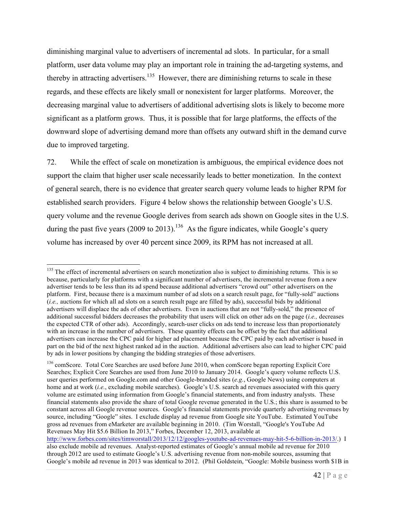diminishing marginal value to advertisers of incremental ad slots. In particular, for a small platform, user data volume may play an important role in training the ad-targeting systems, and thereby in attracting advertisers.<sup>135</sup> However, there are diminishing returns to scale in these regards, and these effects are likely small or nonexistent for larger platforms. Moreover, the decreasing marginal value to advertisers of additional advertising slots is likely to become more significant as a platform grows. Thus, it is possible that for large platforms, the effects of the downward slope of advertising demand more than offsets any outward shift in the demand curve due to improved targeting.

72. While the effect of scale on monetization is ambiguous, the empirical evidence does not support the claim that higher user scale necessarily leads to better monetization. In the context of general search, there is no evidence that greater search query volume leads to higher RPM for established search providers. Figure 4 below shows the relationship between Google's U.S. query volume and the revenue Google derives from search ads shown on Google sites in the U.S. during the past five years (2009 to 2013).<sup>136</sup> As the figure indicates, while Google's query volume has increased by over 40 percent since 2009, its RPM has not increased at all.

http://www.forbes.com/sites/timworstall/2013/12/12/googles-youtube-ad-revenues-may-hit-5-6-billion-in-2013/.) I also exclude mobile ad revenues. Analyst-reported estimates of Google's annual mobile ad revenue for 2010 through 2012 are used to estimate Google's U.S. advertising revenue from non-mobile sources, assuming that Google's mobile ad revenue in 2013 was identical to 2012. (Phil Goldstein, "Google: Mobile business worth \$1B in

<sup>&</sup>lt;sup>135</sup> The effect of incremental advertisers on search monetization also is subject to diminishing returns. This is so because, particularly for platforms with a significant number of advertisers, the incremental revenue from a new advertiser tends to be less than its ad spend because additional advertisers "crowd out" other advertisers on the platform. First, because there is a maximum number of ad slots on a search result page, for "fully-sold" auctions (*i.e.,* auctions for which all ad slots on a search result page are filled by ads), successful bids by additional advertisers will displace the ads of other advertisers. Even in auctions that are not "fully-sold," the presence of additional successful bidders decreases the probability that users will click on other ads on the page (*i.e.,* decreases the expected CTR of other ads). Accordingly, search-user clicks on ads tend to increase less than proportionately with an increase in the number of advertisers. These quantity effects can be offset by the fact that additional advertisers can increase the CPC paid for higher ad placement because the CPC paid by each advertiser is based in part on the bid of the next highest ranked ad in the auction. Additional advertisers also can lead to higher CPC paid by ads in lower positions by changing the bidding strategies of those advertisers.

<sup>&</sup>lt;sup>136</sup> comScore. Total Core Searches are used before June 2010, when comScore began reporting Explicit Core Searches; Explicit Core Searches are used from June 2010 to January 2014. Google's query volume reflects U.S. user queries performed on Google.com and other Google-branded sites (*e.g.*, Google News) using computers at home and at work (*i.e.*, excluding mobile searches). Google's U.S. search ad revenues associated with this query volume are estimated using information from Google's financial statements, and from industry analysts. These financial statements also provide the share of total Google revenue generated in the U.S.; this share is assumed to be constant across all Google revenue sources. Google's financial statements provide quarterly advertising revenues by source, including "Google" sites. I exclude display ad revenue from Google site YouTube. Estimated YouTube gross ad revenues from eMarketer are available beginning in 2010. (Tim Worstall, "Google's YouTube Ad Revenues May Hit \$5.6 Billion In 2013," Forbes, December 12, 2013, available at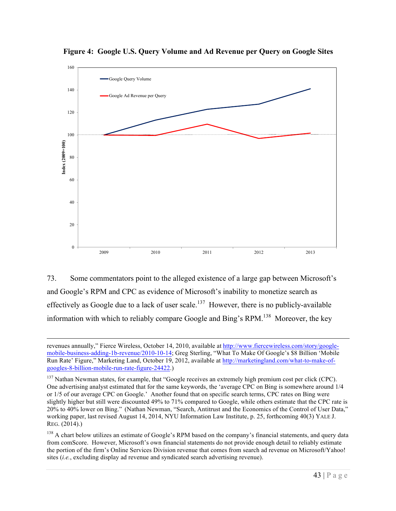

**Figure 4: Google U.S. Query Volume and Ad Revenue per Query on Google Sites**

73. Some commentators point to the alleged existence of a large gap between Microsoft's and Google's RPM and CPC as evidence of Microsoft's inability to monetize search as effectively as Google due to a lack of user scale.<sup>137</sup> However, there is no publicly-available information with which to reliably compare Google and Bing's RPM.<sup>138</sup> Moreover, the key

revenues annually," Fierce Wireless, October 14, 2010, available at http://www.fiercewireless.com/story/googlemobile-business-adding-1b-revenue/2010-10-14; Greg Sterling, "What To Make Of Google's \$8 Billion 'Mobile Run Rate' Figure," Marketing Land, October 19, 2012, available at http://marketingland.com/what-to-make-ofgoogles-8-billion-mobile-run-rate-figure-24422.)

<sup>&</sup>lt;sup>137</sup> Nathan Newman states, for example, that "Google receives an extremely high premium cost per click (CPC). One advertising analyst estimated that for the same keywords, the 'average CPC on Bing is somewhere around 1/4 or 1/5 of our average CPC on Google.' Another found that on specific search terms, CPC rates on Bing were slightly higher but still were discounted 49% to 71% compared to Google, while others estimate that the CPC rate is 20% to 40% lower on Bing." (Nathan Newman, "Search, Antitrust and the Economics of the Control of User Data," working paper, last revised August 14, 2014, NYU Information Law Institute, p. 25, forthcoming 40(3) YALE J. REG. (2014).)

<sup>&</sup>lt;sup>138</sup> A chart below utilizes an estimate of Google's RPM based on the company's financial statements, and query data from comScore. However, Microsoft's own financial statements do not provide enough detail to reliably estimate the portion of the firm's Online Services Division revenue that comes from search ad revenue on Microsoft/Yahoo! sites (*i.e.*, excluding display ad revenue and syndicated search advertising revenue).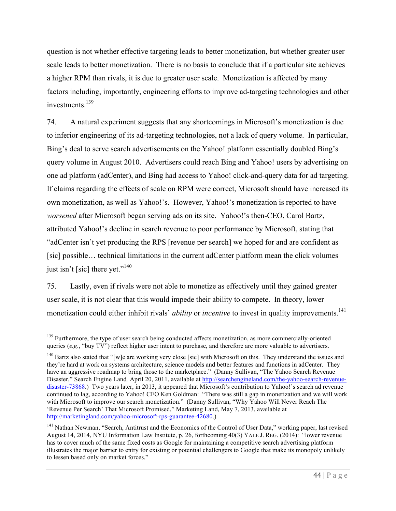question is not whether effective targeting leads to better monetization, but whether greater user scale leads to better monetization. There is no basis to conclude that if a particular site achieves a higher RPM than rivals, it is due to greater user scale. Monetization is affected by many factors including, importantly, engineering efforts to improve ad-targeting technologies and other investments<sup>139</sup>

74. A natural experiment suggests that any shortcomings in Microsoft's monetization is due to inferior engineering of its ad-targeting technologies, not a lack of query volume. In particular, Bing's deal to serve search advertisements on the Yahoo! platform essentially doubled Bing's query volume in August 2010. Advertisers could reach Bing and Yahoo! users by advertising on one ad platform (adCenter), and Bing had access to Yahoo! click-and-query data for ad targeting. If claims regarding the effects of scale on RPM were correct, Microsoft should have increased its own monetization, as well as Yahoo!'s. However, Yahoo!'s monetization is reported to have *worsened* after Microsoft began serving ads on its site. Yahoo!'s then-CEO, Carol Bartz, attributed Yahoo!'s decline in search revenue to poor performance by Microsoft, stating that "adCenter isn't yet producing the RPS [revenue per search] we hoped for and are confident as [sic] possible… technical limitations in the current adCenter platform mean the click volumes just isn't [sic] there yet."<sup>140</sup>

75. Lastly, even if rivals were not able to monetize as effectively until they gained greater user scale, it is not clear that this would impede their ability to compete. In theory, lower monetization could either inhibit rivals' *ability* or *incentive* to invest in quality improvements.<sup>141</sup>

<sup>&</sup>lt;sup>139</sup> Furthermore, the type of user search being conducted affects monetization, as more commercially-oriented queries (*e.g.*, "buy TV") reflect higher user intent to purchase, and therefore are more valuable to advertisers.

<sup>&</sup>lt;sup>140</sup> Bartz also stated that "[w]e are working very close [sic] with Microsoft on this. They understand the issues and they're hard at work on systems architecture, science models and better features and functions in adCenter. They have an aggressive roadmap to bring those to the marketplace." (Danny Sullivan, "The Yahoo Search Revenue Disaster," Search Engine Land*,* April 20, 2011, available at http://searchengineland.com/the-yahoo-search-revenuedisaster-73868.) Two years later, in 2013, it appeared that Microsoft's contribution to Yahoo!'s search ad revenue continued to lag, according to Yahoo! CFO Ken Goldman: "There was still a gap in monetization and we will work with Microsoft to improve our search monetization." (Danny Sullivan, "Why Yahoo Will Never Reach The 'Revenue Per Search' That Microsoft Promised," Marketing Land, May 7, 2013, available at http://marketingland.com/yahoo-microsoft-rps-guarantee-42680.)

<sup>&</sup>lt;sup>141</sup> Nathan Newman, "Search, Antitrust and the Economics of the Control of User Data," working paper, last revised August 14, 2014, NYU Information Law Institute, p. 26, forthcoming 40(3) YALE J. REG. (2014): "lower revenue has to cover much of the same fixed costs as Google for maintaining a competitive search advertising platform illustrates the major barrier to entry for existing or potential challengers to Google that make its monopoly unlikely to lessen based only on market forces."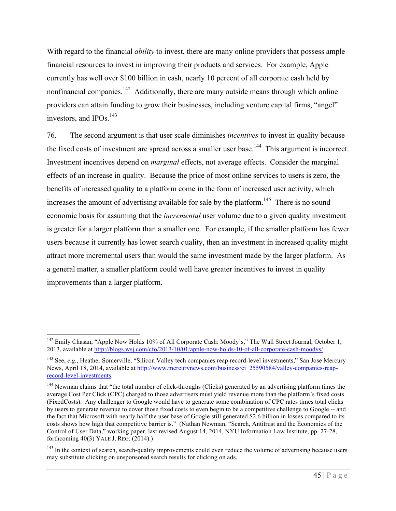With regard to the financial *ability* to invest, there are many online providers that possess ample financial resources to invest in improving their products and services. For example, Apple currently has well over \$100 billion in cash, nearly 10 percent of all corporate cash held by nonfinancial companies.<sup>142</sup> Additionally, there are many outside means through which online providers can attain funding to grow their businesses, including venture capital firms, "angel" investors, and IPOs $^{143}$ 

76. The second argument is that user scale diminishes *incentives* to invest in quality because the fixed costs of investment are spread across a smaller user base.<sup>144</sup> This argument is incorrect. Investment incentives depend on *marginal* effects, not average effects. Consider the marginal effects of an increase in quality. Because the price of most online services to users is zero, the benefits of increased quality to a platform come in the form of increased user activity, which increases the amount of advertising available for sale by the platform.<sup>145</sup> There is no sound economic basis for assuming that the *incremental* user volume due to a given quality investment is greater for a larger platform than a smaller one. For example, if the smaller platform has fewer users because it currently has lower search quality, then an investment in increased quality might attract more incremental users than would the same investment made by the larger platform. As a general matter, a smaller platform could well have greater incentives to invest in quality improvements than a larger platform.

<sup>&</sup>lt;sup>142</sup> Emily Chasan, "Apple Now Holds 10% of All Corporate Cash: Moody's," The Wall Street Journal, October 1, 2013, available at http://blogs.wsj.com/cfo/2013/10/01/apple-now-holds-10-of-all-corporate-cash-moodys/.

<sup>143</sup> See, *e.g.*, Heather Somerville, "Silicon Valley tech companies reap record-level investments," San Jose Mercury News, April 18, 2014, available at http://www.mercurynews.com/business/ci\_25590584/valley-companies-reaprecord-level-investments.

<sup>&</sup>lt;sup>144</sup> Newman claims that "the total number of click-throughs (Clicks) generated by an advertising platform times the average Cost Per Click (CPC) charged to those advertisers must yield revenue more than the platform's fixed costs (FixedCosts). Any challenger to Google would have to generate some combination of CPC rates times total clicks by users to generate revenue to cover those fixed costs to even begin to be a competitive challenge to Google -- and the fact that Microsoft with nearly half the user base of Google still generated \$2.6 billion in losses compared to its costs shows how high that competitive barrier is." (Nathan Newman, "Search, Antitrust and the Economics of the Control of User Data," working paper, last revised August 14, 2014, NYU Information Law Institute, pp. 27-28, forthcoming 40(3) YALE J. REG. (2014).)

<sup>&</sup>lt;sup>145</sup> In the context of search, search-quality improvements could even reduce the volume of advertising because users may substitute clicking on unsponsored search results for clicking on ads.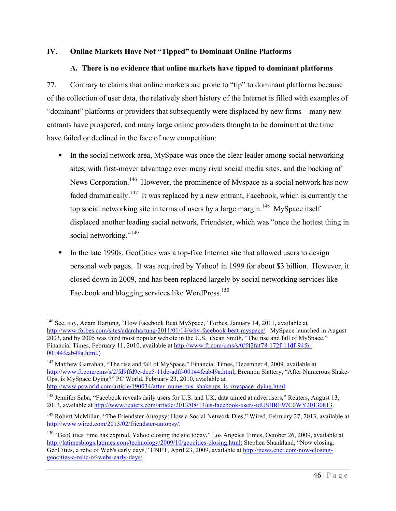#### **IV. Online Markets Have Not "Tipped" to Dominant Online Platforms**

### **A. There is no evidence that online markets have tipped to dominant platforms**

77. Contrary to claims that online markets are prone to "tip" to dominant platforms because of the collection of user data, the relatively short history of the Internet is filled with examples of "dominant" platforms or providers that subsequently were displaced by new firms—many new entrants have prospered, and many large online providers thought to be dominant at the time have failed or declined in the face of new competition:

- In the social network area, MySpace was once the clear leader among social networking sites, with first-mover advantage over many rival social media sites, and the backing of News Corporation.<sup>146</sup> However, the prominence of Myspace as a social network has now faded dramatically.<sup>147</sup> It was replaced by a new entrant, Facebook, which is currently the top social networking site in terms of users by a large margin.<sup>148</sup> MySpace itself displaced another leading social network, Friendster, which was "once the hottest thing in social networking."<sup>149</sup>
- In the late 1990s, GeoCities was a top-five Internet site that allowed users to design personal web pages. It was acquired by Yahoo! in 1999 for about \$3 billion. However, it closed down in 2009, and has been replaced largely by social networking services like Facebook and blogging services like WordPress.<sup>150</sup>

 <sup>146</sup> See, *e.g.*, Adam Hartung, "How Facebook Beat MySpace," Forbes, January 14, 2011, available at http://www.forbes.com/sites/adamhartung/2011/01/14/why-facebook-beat-myspace/. MySpace launched in August 2003, and by 2005 was third most popular website in the U.S. (Sean Smith, "The rise and fall of MySpace," Financial Times, February 11, 2010, available at http://www.ft.com/cms/s/0/f42faf78-172f-11df-94f6- 00144feab49a.html.)

<sup>&</sup>lt;sup>147</sup> Matthew Garrahan, "The rise and fall of MySpace," Financial Times, December 4, 2009. available at http://www.ft.com/cms/s/2/fd9ffd9c-dee5-11de-adff-00144feab49a.html; Brennon Slattery, "After Numerous Shake-Ups, is MySpace Dying?" PC World, February 23, 2010, available at http://www.pcworld.com/article/190034/after\_numerous\_shakeups\_is\_myspace\_dying.html.

<sup>&</sup>lt;sup>148</sup> Jennifer Saba, "Facebook reveals daily users for U.S. and UK, data aimed at advertisers," Reuters, August 13, 2013, available at http://www.reuters.com/article/2013/08/13/us-facebook-users-idUSBRE97C0WY20130813.

<sup>&</sup>lt;sup>149</sup> Robert McMillan, "The Friendster Autopsy: How a Social Network Dies," Wired, February 27, 2013, available at http://www.wired.com/2013/02/friendster-autopsy/.

 $150$  "GeoCities' time has expired, Yahoo closing the site today," Los Angeles Times, October 26, 2009, available at http://latimesblogs.latimes.com/technology/2009/10/geocities-closing.html; Stephen Shankland, "Now closing: GeoCities, a relic of Web's early days," CNET, April 23, 2009, available at http://news.cnet.com/now-closinggeocities-a-relic-of-webs-early-days/.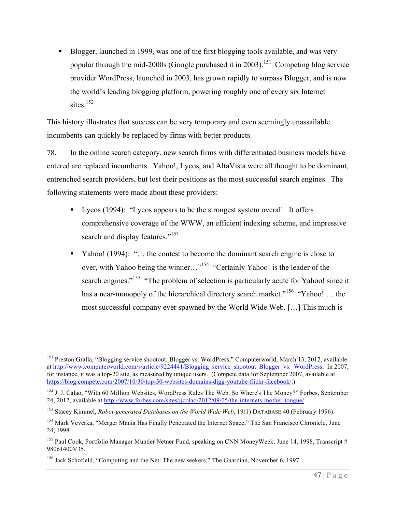■ Blogger, launched in 1999, was one of the first blogging tools available, and was very popular through the mid-2000s (Google purchased it in 2003).<sup>151</sup> Competing blog service provider WordPress, launched in 2003, has grown rapidly to surpass Blogger, and is now the world's leading blogging platform, powering roughly one of every six Internet sites $^{152}$ 

This history illustrates that success can be very temporary and even seemingly unassailable incumbents can quickly be replaced by firms with better products.

78. In the online search category, new search firms with differentiated business models have entered are replaced incumbents. Yahoo!, Lycos, and AltaVista were all thought to be dominant, entrenched search providers, but lost their positions as the most successful search engines. The following statements were made about these providers:

- Lycos (1994): "Lycos appears to be the strongest system overall. It offers comprehensive coverage of the WWW, an efficient indexing scheme, and impressive search and display features."<sup>153</sup>
- § Yahoo! (1994): "… the contest to become the dominant search engine is close to over, with Yahoo being the winner…"154 "Certainly Yahoo! is the leader of the search engines."<sup>155</sup> "The problem of selection is particularly acute for Yahoo! since it has a near-monopoly of the hierarchical directory search market."<sup>156</sup> "Yahoo! ... the most successful company ever spawned by the World Wide Web. […] This much is

<sup>&</sup>lt;sup>151</sup> Preston Gralla, "Blogging service shootout: Blogger vs. WordPress," Computerworld, March 13, 2012, available at http://www.computerworld.com/s/article/9224441/Blogging\_service\_shootout\_Blogger\_vs.\_WordPress. In 2007, for instance, it was a top-20 site, as measured by unique users. (Compete data for September 2007, available at https://blog.compete.com/2007/10/30/top-50-websites-domains-digg-youtube-flickr-facebook/.)

<sup>&</sup>lt;sup>152</sup> J. J. Calao, "With 60 Million Websites, WordPress Rules The Web. So Where's The Money?" Forbes, September 24, 2012, available at http://www.forbes.com/sites/jjcolao/2012/09/05/the-internets-mother-tongue/.

<sup>153</sup> Stacey Kimmel, *Robot-generated Databases on the World Wide Web*, 19(1) DATABASE 40 (February 1996).

<sup>&</sup>lt;sup>154</sup> Mark Veverka, "Merger Mania Has Finally Penetrated the Internet Space," The San Francisco Chronicle, June 24, 1998.

<sup>&</sup>lt;sup>155</sup> Paul Cook, Portfolio Manager Munder Netner Fund, speaking on CNN MoneyWeek, June 14, 1998, Transcript # 98061400V35.

<sup>&</sup>lt;sup>156</sup> Jack Schofield, "Computing and the Net: The new seekers," The Guardian, November 6, 1997.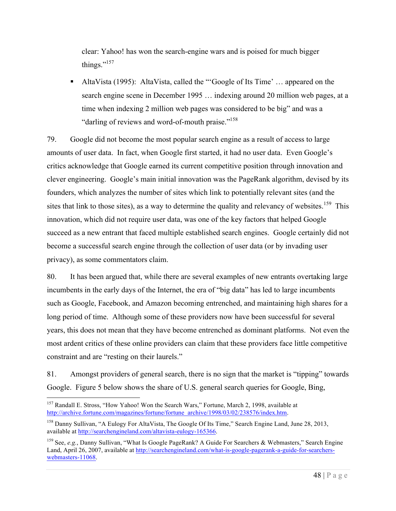clear: Yahoo! has won the search-engine wars and is poised for much bigger things."<sup>157</sup>

§ AltaVista (1995): AltaVista, called the "'Google of Its Time' … appeared on the search engine scene in December 1995 … indexing around 20 million web pages, at a time when indexing 2 million web pages was considered to be big" and was a "darling of reviews and word-of-mouth praise."<sup>158</sup>

79. Google did not become the most popular search engine as a result of access to large amounts of user data. In fact, when Google first started, it had no user data. Even Google's critics acknowledge that Google earned its current competitive position through innovation and clever engineering. Google's main initial innovation was the PageRank algorithm, devised by its founders, which analyzes the number of sites which link to potentially relevant sites (and the sites that link to those sites), as a way to determine the quality and relevancy of websites.<sup>159</sup> This innovation, which did not require user data, was one of the key factors that helped Google succeed as a new entrant that faced multiple established search engines. Google certainly did not become a successful search engine through the collection of user data (or by invading user privacy), as some commentators claim.

80. It has been argued that, while there are several examples of new entrants overtaking large incumbents in the early days of the Internet, the era of "big data" has led to large incumbents such as Google, Facebook, and Amazon becoming entrenched, and maintaining high shares for a long period of time. Although some of these providers now have been successful for several years, this does not mean that they have become entrenched as dominant platforms. Not even the most ardent critics of these online providers can claim that these providers face little competitive constraint and are "resting on their laurels."

81. Amongst providers of general search, there is no sign that the market is "tipping" towards Google. Figure 5 below shows the share of U.S. general search queries for Google, Bing,

<sup>&</sup>lt;sup>157</sup> Randall E. Stross, "How Yahoo! Won the Search Wars," Fortune, March 2, 1998, available at http://archive.fortune.com/magazines/fortune/fortune\_archive/1998/03/02/238576/index.htm.

<sup>&</sup>lt;sup>158</sup> Danny Sullivan, "A Eulogy For AltaVista, The Google Of Its Time," Search Engine Land, June 28, 2013, available at http://searchengineland.com/altavista-eulogy-165366.

<sup>159</sup> See, *e.g.*, Danny Sullivan, "What Is Google PageRank? A Guide For Searchers & Webmasters," Search Engine Land, April 26, 2007, available at http://searchengineland.com/what-is-google-pagerank-a-guide-for-searcherswebmasters-11068.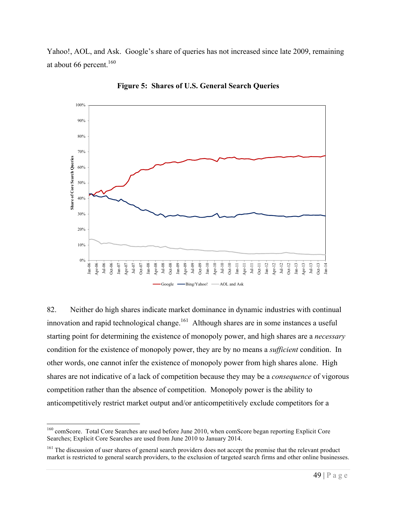Yahoo!, AOL, and Ask. Google's share of queries has not increased since late 2009, remaining at about 66 percent.<sup>160</sup>



**Figure 5: Shares of U.S. General Search Queries**

82. Neither do high shares indicate market dominance in dynamic industries with continual innovation and rapid technological change.<sup>161</sup> Although shares are in some instances a useful starting point for determining the existence of monopoly power, and high shares are a *necessary* condition for the existence of monopoly power, they are by no means a *sufficient* condition. In other words, one cannot infer the existence of monopoly power from high shares alone. High shares are not indicative of a lack of competition because they may be a *consequence* of vigorous competition rather than the absence of competition. Monopoly power is the ability to anticompetitively restrict market output and/or anticompetitively exclude competitors for a

 <sup>160</sup> comScore. Total Core Searches are used before June 2010, when comScore began reporting Explicit Core Searches; Explicit Core Searches are used from June 2010 to January 2014.

<sup>&</sup>lt;sup>161</sup> The discussion of user shares of general search providers does not accept the premise that the relevant product market is restricted to general search providers, to the exclusion of targeted search firms and other online businesses.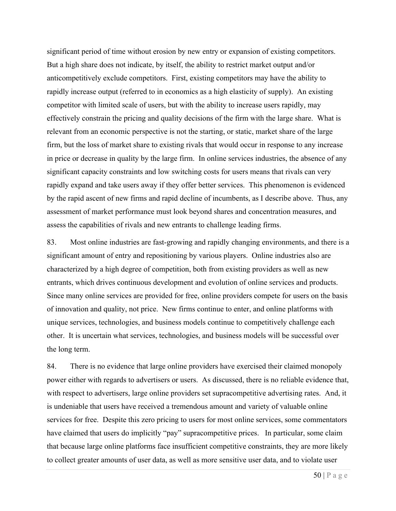significant period of time without erosion by new entry or expansion of existing competitors. But a high share does not indicate, by itself, the ability to restrict market output and/or anticompetitively exclude competitors. First, existing competitors may have the ability to rapidly increase output (referred to in economics as a high elasticity of supply). An existing competitor with limited scale of users, but with the ability to increase users rapidly, may effectively constrain the pricing and quality decisions of the firm with the large share. What is relevant from an economic perspective is not the starting, or static, market share of the large firm, but the loss of market share to existing rivals that would occur in response to any increase in price or decrease in quality by the large firm. In online services industries, the absence of any significant capacity constraints and low switching costs for users means that rivals can very rapidly expand and take users away if they offer better services. This phenomenon is evidenced by the rapid ascent of new firms and rapid decline of incumbents, as I describe above. Thus, any assessment of market performance must look beyond shares and concentration measures, and assess the capabilities of rivals and new entrants to challenge leading firms.

83. Most online industries are fast-growing and rapidly changing environments, and there is a significant amount of entry and repositioning by various players. Online industries also are characterized by a high degree of competition, both from existing providers as well as new entrants, which drives continuous development and evolution of online services and products. Since many online services are provided for free, online providers compete for users on the basis of innovation and quality, not price. New firms continue to enter, and online platforms with unique services, technologies, and business models continue to competitively challenge each other. It is uncertain what services, technologies, and business models will be successful over the long term.

84. There is no evidence that large online providers have exercised their claimed monopoly power either with regards to advertisers or users. As discussed, there is no reliable evidence that, with respect to advertisers, large online providers set supracompetitive advertising rates. And, it is undeniable that users have received a tremendous amount and variety of valuable online services for free. Despite this zero pricing to users for most online services, some commentators have claimed that users do implicitly "pay" supracompetitive prices. In particular, some claim that because large online platforms face insufficient competitive constraints, they are more likely to collect greater amounts of user data, as well as more sensitive user data, and to violate user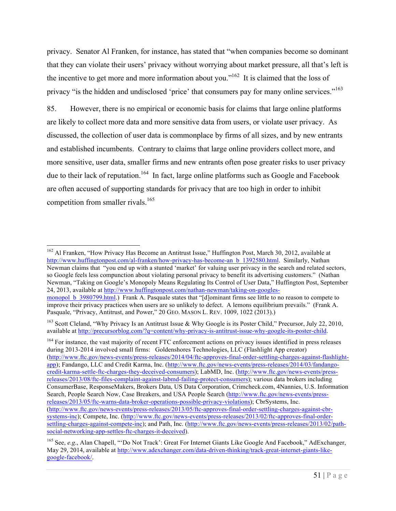privacy. Senator Al Franken, for instance, has stated that "when companies become so dominant that they can violate their users' privacy without worrying about market pressure, all that's left is the incentive to get more and more information about you."162 It is claimed that the loss of privacy "is the hidden and undisclosed 'price' that consumers pay for many online services."<sup>163</sup>

85. However, there is no empirical or economic basis for claims that large online platforms are likely to collect more data and more sensitive data from users, or violate user privacy. As discussed, the collection of user data is commonplace by firms of all sizes, and by new entrants and established incumbents. Contrary to claims that large online providers collect more, and more sensitive, user data, smaller firms and new entrants often pose greater risks to user privacy due to their lack of reputation.<sup>164</sup> In fact, large online platforms such as Google and Facebook are often accused of supporting standards for privacy that are too high in order to inhibit competition from smaller rivals.<sup>165</sup>

<sup>&</sup>lt;sup>162</sup> Al Franken, "How Privacy Has Become an Antitrust Issue," Huffington Post, March 30, 2012, available at http://www.huffingtonpost.com/al-franken/how-privacy-has-become-an\_b\_1392580.html. Similarly, Nathan Newman claims that "you end up with a stunted 'market' for valuing user privacy in the search and related sectors, so Google feels less compunction about violating personal privacy to benefit its advertising customers." (Nathan Newman, "Taking on Google's Monopoly Means Regulating Its Control of User Data," Huffington Post, September 24, 2013, available at http://www.huffingtonpost.com/nathan-newman/taking-on-googles-

monopol b 3980799.html.) Frank A. Pasquale states that "[d]ominant firms see little to no reason to compete to improve their privacy practices when users are so unlikely to defect. A lemons equilibrium prevails." (Frank A. Pasquale, "Privacy, Antitrust, and Power," 20 GEO. MASON L. REV. 1009, 1022 (2013).)

<sup>&</sup>lt;sup>163</sup> Scott Cleland, "Why Privacy Is an Antitrust Issue & Why Google is its Poster Child," Precursor, July 22, 2010, available at http://precursorblog.com/?q=content/why-privacy-is-antitrust-issue-why-google-its-poster-child.

<sup>&</sup>lt;sup>164</sup> For instance, the vast majority of recent FTC enforcement actions on privacy issues identified in press releases during 2013-2014 involved small firms: Goldenshores Technologies, LLC (Flashlight App creator) (http://www.ftc.gov/news-events/press-releases/2014/04/ftc-approves-final-order-settling-charges-against-flashlightapp); Fandango, LLC and Credit Karma, Inc. (http://www.ftc.gov/news-events/press-releases/2014/03/fandangocredit-karma-settle-ftc-charges-they-deceived-consumers); LabMD, Inc. (http://www.ftc.gov/news-events/pressreleases/2013/08/ftc-files-complaint-against-labmd-failing-protect-consumers); various data brokers including ConsumerBase, ResponseMakers, Brokers Data, US Data Corporation, Crimcheck.com, 4Nannies, U.S. Information Search, People Search Now, Case Breakers, and USA People Search (http://www.ftc.gov/news-events/pressreleases/2013/05/ftc-warns-data-broker-operations-possible-privacy-violations); CbrSystems, Inc. (http://www.ftc.gov/news-events/press-releases/2013/05/ftc-approves-final-order-settling-charges-against-cbrsystems-inc); Compete, Inc. (http://www.ftc.gov/news-events/press-releases/2013/02/ftc-approves-final-ordersettling-charges-against-compete-inc); and Path, Inc. (http://www.ftc.gov/news-events/press-releases/2013/02/pathsocial-networking-app-settles-ftc-charges-it-deceived).

<sup>165</sup> See, *e.g*., Alan Chapell, "'Do Not Track': Great For Internet Giants Like Google And Facebook," AdExchanger, May 29, 2014, available at http://www.adexchanger.com/data-driven-thinking/track-great-internet-giants-likegoogle-facebook/.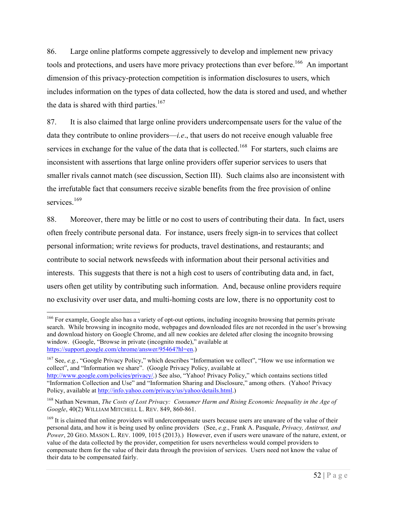86. Large online platforms compete aggressively to develop and implement new privacy tools and protections, and users have more privacy protections than ever before.<sup>166</sup> An important dimension of this privacy-protection competition is information disclosures to users, which includes information on the types of data collected, how the data is stored and used, and whether the data is shared with third parties.<sup>167</sup>

87. It is also claimed that large online providers undercompensate users for the value of the data they contribute to online providers—*i.e*., that users do not receive enough valuable free services in exchange for the value of the data that is collected.<sup>168</sup> For starters, such claims are inconsistent with assertions that large online providers offer superior services to users that smaller rivals cannot match (see discussion, Section III). Such claims also are inconsistent with the irrefutable fact that consumers receive sizable benefits from the free provision of online services.<sup>169</sup>

88. Moreover, there may be little or no cost to users of contributing their data. In fact, users often freely contribute personal data. For instance, users freely sign-in to services that collect personal information; write reviews for products, travel destinations, and restaurants; and contribute to social network newsfeeds with information about their personal activities and interests. This suggests that there is not a high cost to users of contributing data and, in fact, users often get utility by contributing such information. And, because online providers require no exclusivity over user data, and multi-homing costs are low, there is no opportunity cost to

<sup>167</sup> See, *e.g.*, "Google Privacy Policy," which describes "Information we collect", "How we use information we collect", and "Information we share". (Google Privacy Policy, available at

<sup>&</sup>lt;sup>166</sup> For example, Google also has a variety of opt-out options, including incognito browsing that permits private search. While browsing in incognito mode, webpages and downloaded files are not recorded in the user's browsing and download history on Google Chrome, and all new cookies are deleted after closing the incognito browsing window. (Google, "Browse in private (incognito mode)," available at https://support.google.com/chrome/answer/95464?hl=en.)

http://www.google.com/policies/privacy/.) See also, "Yahoo! Privacy Policy," which contains sections titled "Information Collection and Use" and "Information Sharing and Disclosure," among others. (Yahoo! Privacy Policy, available at http://info.yahoo.com/privacy/us/yahoo/details.html.)

<sup>168</sup> Nathan Newman, *The Costs of Lost Privacy: Consumer Harm and Rising Economic Inequality in the Age of Google*, 40(2) WILLIAM MITCHELL L. REV. 849, 860-861.

<sup>&</sup>lt;sup>169</sup> It is claimed that online providers will undercompensate users because users are unaware of the value of their personal data, and how it is being used by online providers (See, *e.g*., Frank A. Pasquale, *Privacy, Antitrust, and Power*, 20 GEO. MASON L. REV. 1009, 1015 (2013).) However, even if users were unaware of the nature, extent, or value of the data collected by the provider, competition for users nevertheless would compel providers to compensate them for the value of their data through the provision of services. Users need not know the value of their data to be compensated fairly.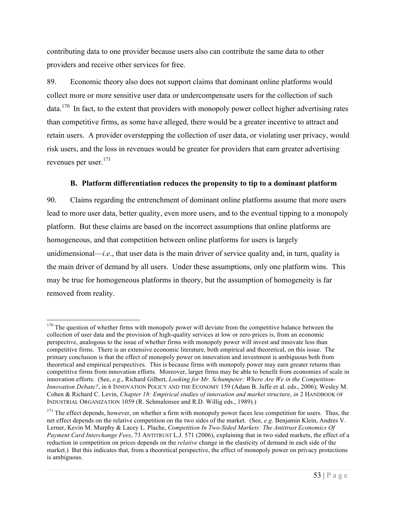contributing data to one provider because users also can contribute the same data to other providers and receive other services for free.

89. Economic theory also does not support claims that dominant online platforms would collect more or more sensitive user data or undercompensate users for the collection of such data.<sup>170</sup> In fact, to the extent that providers with monopoly power collect higher advertising rates than competitive firms, as some have alleged, there would be a greater incentive to attract and retain users. A provider overstepping the collection of user data, or violating user privacy, would risk users, and the loss in revenues would be greater for providers that earn greater advertising revenues per user.171

#### **B. Platform differentiation reduces the propensity to tip to a dominant platform**

90. Claims regarding the entrenchment of dominant online platforms assume that more users lead to more user data, better quality, even more users, and to the eventual tipping to a monopoly platform. But these claims are based on the incorrect assumptions that online platforms are homogeneous, and that competition between online platforms for users is largely unidimensional—*i.e*., that user data is the main driver of service quality and, in turn, quality is the main driver of demand by all users. Under these assumptions, only one platform wins. This may be true for homogeneous platforms in theory, but the assumption of homogeneity is far removed from reality.

 $170$  The question of whether firms with monopoly power will deviate from the competitive balance between the collection of user data and the provision of high-quality services at low or zero prices is, from an economic perspective, analogous to the issue of whether firms with monopoly power will invest and innovate less than competitive firms. There is an extensive economic literature, both empirical and theoretical, on this issue. The primary conclusion is that the effect of monopoly power on innovation and investment is ambiguous both from theoretical and empirical perspectives. This is because firms with monopoly power may earn greater returns than competitive firms from innovation efforts. Moreover, larger firms may be able to benefit from economies of scale in innovation efforts. (See, *e.g*., Richard Gilbert, *Looking for Mr. Schumpeter: Where Are We in the Competition-Innovation Debate?*, in 6 INNOVATION POLICY AND THE ECONOMY 159 (Adam B. Jaffe et al. eds., 2006); Wesley M. Cohen & Richard C. Levin, *Chapter 18: Empirical studies of innovation and market structure*, *in* 2 HANDBOOK OF INDUSTRIAL ORGANIZATION 1059 (R. Schmalensee and R.D. Willig eds., 1989).)

 $171$  The effect depends, however, on whether a firm with monopoly power faces less competition for users. Thus, the net effect depends on the relative competition on the two sides of the market. (See, *e.g*. Benjamin Klein, Andres V. Lerner, Kevin M. Murphy & Lacey L. Plache, *Competition In Two-Sided Markets: The Antitrust Economics Of Payment Card Interchange Fees*, 73 ANTITRUST L.J. 571 (2006), explaining that in two sided markets, the effect of a reduction in competition on prices depends on the *relative* change in the elasticity of demand in each side of the market.) But this indicates that, from a theoretical perspective, the effect of monopoly power on privacy protections is ambiguous.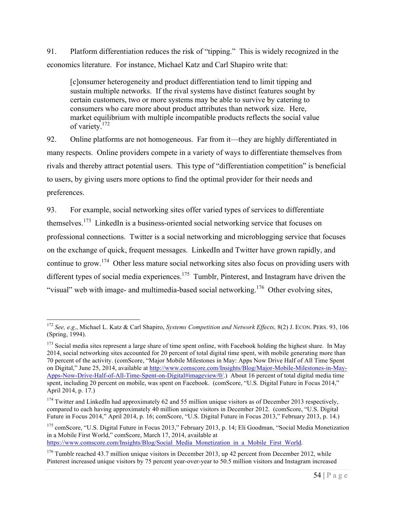91. Platform differentiation reduces the risk of "tipping." This is widely recognized in the economics literature. For instance, Michael Katz and Carl Shapiro write that:

[c]onsumer heterogeneity and product differentiation tend to limit tipping and sustain multiple networks. If the rival systems have distinct features sought by certain customers, two or more systems may be able to survive by catering to consumers who care more about product attributes than network size. Here, market equilibrium with multiple incompatible products reflects the social value of variety.172

92. Online platforms are not homogeneous. Far from it—they are highly differentiated in many respects. Online providers compete in a variety of ways to differentiate themselves from rivals and thereby attract potential users. This type of "differentiation competition" is beneficial to users, by giving users more options to find the optimal provider for their needs and preferences.

93. For example, social networking sites offer varied types of services to differentiate themselves.173 LinkedIn is a business-oriented social networking service that focuses on professional connections. Twitter is a social networking and microblogging service that focuses on the exchange of quick, frequent messages. LinkedIn and Twitter have grown rapidly, and continue to grow.174 Other less mature social networking sites also focus on providing users with different types of social media experiences.<sup>175</sup> Tumblr, Pinterest, and Instagram have driven the "visual" web with image- and multimedia-based social networking.<sup>176</sup> Other evolving sites,

 <sup>172</sup> *See, e.g*., Michael L. Katz & Carl Shapiro, *Systems Competition and Network Effects,* 8(2) J. ECON. PERS. 93, 106 (Spring, 1994).

 $173$  Social media sites represent a large share of time spent online, with Facebook holding the highest share. In May 2014, social networking sites accounted for 20 percent of total digital time spent, with mobile generating more than 70 percent of the activity. (comScore, "Major Mobile Milestones in May: Apps Now Drive Half of All Time Spent on Digital," June 25, 2014, available at http://www.comscore.com/Insights/Blog/Major-Mobile-Milestones-in-May-Apps-Now-Drive-Half-of-All-Time-Spent-on-Digital#imageview/0/.) About 16 percent of total digital media time spent, including 20 percent on mobile, was spent on Facebook. (comScore, "U.S. Digital Future in Focus 2014," April 2014, p. 17.)

<sup>&</sup>lt;sup>174</sup> Twitter and LinkedIn had approximately 62 and 55 million unique visitors as of December 2013 respectively, compared to each having approximately 40 million unique visitors in December 2012. (comScore, "U.S. Digital Future in Focus 2014," April 2014, p. 16; comScore, "U.S. Digital Future in Focus 2013," February 2013, p. 14.)

<sup>&</sup>lt;sup>175</sup> comScore, "U.S. Digital Future in Focus 2013," February 2013, p. 14; Eli Goodman, "Social Media Monetization in a Mobile First World," comScore, March 17, 2014, available at

https://www.comscore.com/Insights/Blog/Social\_Media\_Monetization\_in\_a\_Mobile\_First\_World.

<sup>&</sup>lt;sup>176</sup> Tumblr reached 43.7 million unique visitors in December 2013, up 42 percent from December 2012, while Pinterest increased unique visitors by 75 percent year-over-year to 50.5 million visitors and Instagram increased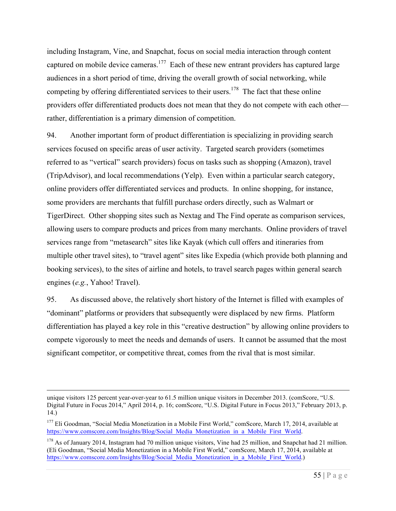including Instagram, Vine, and Snapchat, focus on social media interaction through content captured on mobile device cameras.<sup>177</sup> Each of these new entrant providers has captured large audiences in a short period of time, driving the overall growth of social networking, while competing by offering differentiated services to their users.<sup>178</sup> The fact that these online providers offer differentiated products does not mean that they do not compete with each other rather, differentiation is a primary dimension of competition.

94. Another important form of product differentiation is specializing in providing search services focused on specific areas of user activity. Targeted search providers (sometimes referred to as "vertical" search providers) focus on tasks such as shopping (Amazon), travel (TripAdvisor), and local recommendations (Yelp). Even within a particular search category, online providers offer differentiated services and products. In online shopping, for instance, some providers are merchants that fulfill purchase orders directly, such as Walmart or TigerDirect. Other shopping sites such as Nextag and The Find operate as comparison services, allowing users to compare products and prices from many merchants. Online providers of travel services range from "metasearch" sites like Kayak (which cull offers and itineraries from multiple other travel sites), to "travel agent" sites like Expedia (which provide both planning and booking services), to the sites of airline and hotels, to travel search pages within general search engines (*e.g.*, Yahoo! Travel).

95. As discussed above, the relatively short history of the Internet is filled with examples of "dominant" platforms or providers that subsequently were displaced by new firms. Platform differentiation has played a key role in this "creative destruction" by allowing online providers to compete vigorously to meet the needs and demands of users. It cannot be assumed that the most significant competitor, or competitive threat, comes from the rival that is most similar.

unique visitors 125 percent year-over-year to 61.5 million unique visitors in December 2013. (comScore, "U.S. Digital Future in Focus 2014," April 2014, p. 16; comScore, "U.S. Digital Future in Focus 2013," February 2013, p. 14.)

<sup>&</sup>lt;sup>177</sup> Eli Goodman, "Social Media Monetization in a Mobile First World," comScore, March 17, 2014, available at https://www.comscore.com/Insights/Blog/Social\_Media\_Monetization\_in\_a\_Mobile\_First\_World.

 $178$  As of January 2014, Instagram had 70 million unique visitors, Vine had 25 million, and Snapchat had 21 million. (Eli Goodman, "Social Media Monetization in a Mobile First World," comScore, March 17, 2014, available at https://www.comscore.com/Insights/Blog/Social\_Media\_Monetization\_in\_a\_Mobile\_First\_World.)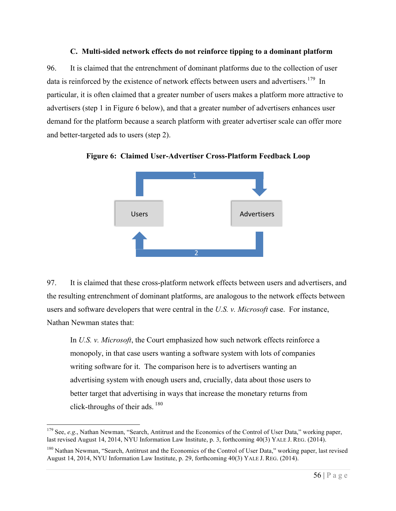#### **C. Multi-sided network effects do not reinforce tipping to a dominant platform**

96. It is claimed that the entrenchment of dominant platforms due to the collection of user data is reinforced by the existence of network effects between users and advertisers.<sup>179</sup> In particular, it is often claimed that a greater number of users makes a platform more attractive to advertisers (step 1 in Figure 6 below), and that a greater number of advertisers enhances user demand for the platform because a search platform with greater advertiser scale can offer more and better-targeted ads to users (step 2).



**Figure 6: Claimed User-Advertiser Cross-Platform Feedback Loop**

97. It is claimed that these cross-platform network effects between users and advertisers, and the resulting entrenchment of dominant platforms, are analogous to the network effects between users and software developers that were central in the *U.S. v. Microsoft* case. For instance, Nathan Newman states that:

In *U.S. v. Microsoft*, the Court emphasized how such network effects reinforce a monopoly, in that case users wanting a software system with lots of companies writing software for it. The comparison here is to advertisers wanting an advertising system with enough users and, crucially, data about those users to better target that advertising in ways that increase the monetary returns from click-throughs of their ads.  $180$ 

<sup>&</sup>lt;sup>179</sup> See, *e.g.*, Nathan Newman, "Search, Antitrust and the Economics of the Control of User Data," working paper, last revised August 14, 2014, NYU Information Law Institute, p. 3, forthcoming 40(3) YALE J. REG. (2014).

<sup>&</sup>lt;sup>180</sup> Nathan Newman, "Search, Antitrust and the Economics of the Control of User Data," working paper, last revised August 14, 2014, NYU Information Law Institute, p. 29, forthcoming 40(3) YALE J. REG. (2014).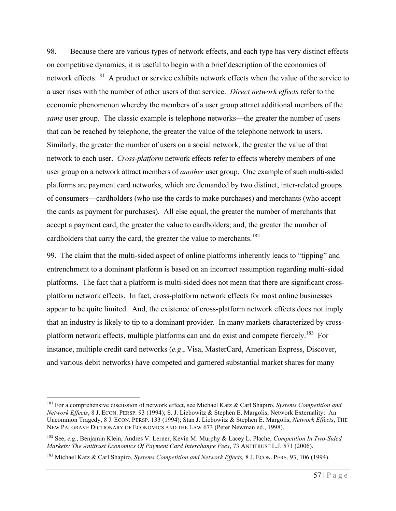98. Because there are various types of network effects, and each type has very distinct effects on competitive dynamics, it is useful to begin with a brief description of the economics of network effects.<sup>181</sup> A product or service exhibits network effects when the value of the service to a user rises with the number of other users of that service. *Direct network effects* refer to the economic phenomenon whereby the members of a user group attract additional members of the *same* user group. The classic example is telephone networks—the greater the number of users that can be reached by telephone, the greater the value of the telephone network to users. Similarly, the greater the number of users on a social network, the greater the value of that network to each user. *Cross-platform* network effects refer to effects whereby members of one user group on a network attract members of *another* user group. One example of such multi-sided platforms are payment card networks, which are demanded by two distinct, inter-related groups of consumers—cardholders (who use the cards to make purchases) and merchants (who accept the cards as payment for purchases). All else equal, the greater the number of merchants that accept a payment card, the greater the value to cardholders; and, the greater the number of cardholders that carry the card, the greater the value to merchants.<sup>182</sup>

99. The claim that the multi-sided aspect of online platforms inherently leads to "tipping" and entrenchment to a dominant platform is based on an incorrect assumption regarding multi-sided platforms. The fact that a platform is multi-sided does not mean that there are significant crossplatform network effects. In fact, cross-platform network effects for most online businesses appear to be quite limited. And, the existence of cross-platform network effects does not imply that an industry is likely to tip to a dominant provider. In many markets characterized by crossplatform network effects, multiple platforms can and do exist and compete fiercely.<sup>183</sup> For instance, multiple credit card networks (*e.g*., Visa, MasterCard, American Express, Discover, and various debit networks) have competed and garnered substantial market shares for many

 <sup>181</sup> For a comprehensive discussion of network effect, see Michael Katz & Carl Shapiro, *Systems Competition and Network Effects*, 8 J. ECON. PERSP. 93 (1994); S. J. Liebowitz & Stephen E. Margolis, Network Externality: An Uncommon Tragedy, 8 J. ECON. PERSP. 133 (1994); Stan J. Liebowitz & Stephen E. Margolis, *Network Effects*, THE NEW PALGRAVE DICTIONARY OF ECONOMICS AND THE LAW 673 (Peter Newman ed., 1998).

<sup>182</sup> See, *e.g*., Benjamin Klein, Andres V. Lerner, Kevin M. Murphy & Lacey L. Plache, *Competition In Two-Sided Markets: The Antitrust Economics Of Payment Card Interchange Fees*, 73 ANTITRUST L.J. 571 (2006).

<sup>183</sup> Michael Katz & Carl Shapiro, *Systems Competition and Network Effects,* 8 J. ECON. PERS. 93, 106 (1994).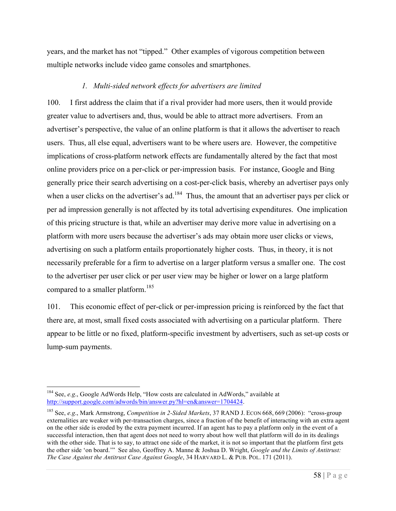years, and the market has not "tipped." Other examples of vigorous competition between multiple networks include video game consoles and smartphones.

## *1. Multi-sided network effects for advertisers are limited*

100. I first address the claim that if a rival provider had more users, then it would provide greater value to advertisers and, thus, would be able to attract more advertisers. From an advertiser's perspective, the value of an online platform is that it allows the advertiser to reach users. Thus, all else equal, advertisers want to be where users are. However, the competitive implications of cross-platform network effects are fundamentally altered by the fact that most online providers price on a per-click or per-impression basis. For instance, Google and Bing generally price their search advertising on a cost-per-click basis, whereby an advertiser pays only when a user clicks on the advertiser's ad.<sup>184</sup> Thus, the amount that an advertiser pays per click or per ad impression generally is not affected by its total advertising expenditures. One implication of this pricing structure is that, while an advertiser may derive more value in advertising on a platform with more users because the advertiser's ads may obtain more user clicks or views, advertising on such a platform entails proportionately higher costs. Thus, in theory, it is not necessarily preferable for a firm to advertise on a larger platform versus a smaller one. The cost to the advertiser per user click or per user view may be higher or lower on a large platform compared to a smaller platform.<sup>185</sup>

101. This economic effect of per-click or per-impression pricing is reinforced by the fact that there are, at most, small fixed costs associated with advertising on a particular platform. There appear to be little or no fixed, platform-specific investment by advertisers, such as set-up costs or lump-sum payments.

<sup>&</sup>lt;sup>184</sup> See, *e.g.*, Google AdWords Help, "How costs are calculated in AdWords," available at http://support.google.com/adwords/bin/answer.py?hl=en&answer=1704424.

<sup>185</sup> See, *e.g*., Mark Armstrong, *Competition in 2-Sided Markets*, 37 RAND J. ECON 668, 669 (2006): "cross-group externalities are weaker with per-transaction charges, since a fraction of the benefit of interacting with an extra agent on the other side is eroded by the extra payment incurred. If an agent has to pay a platform only in the event of a successful interaction, then that agent does not need to worry about how well that platform will do in its dealings with the other side. That is to say, to attract one side of the market, it is not so important that the platform first gets the other side 'on board.'" See also, Geoffrey A. Manne & Joshua D. Wright, *Google and the Limits of Antitrust: The Case Against the Antitrust Case Against Google*, 34 HARVARD L. & PUB. POL. 171 (2011).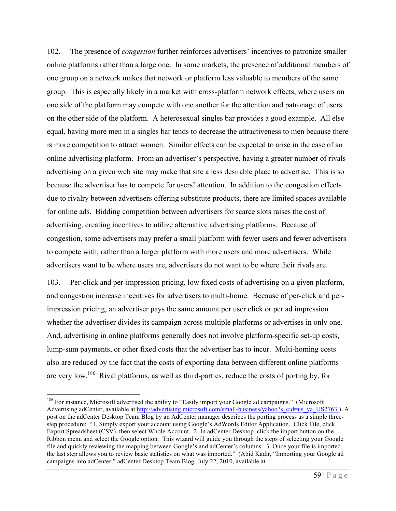102. The presence of *congestion* further reinforces advertisers' incentives to patronize smaller online platforms rather than a large one. In some markets, the presence of additional members of one group on a network makes that network or platform less valuable to members of the same group. This is especially likely in a market with cross-platform network effects, where users on one side of the platform may compete with one another for the attention and patronage of users on the other side of the platform. A heterosexual singles bar provides a good example. All else equal, having more men in a singles bar tends to decrease the attractiveness to men because there is more competition to attract women. Similar effects can be expected to arise in the case of an online advertising platform. From an advertiser's perspective, having a greater number of rivals advertising on a given web site may make that site a less desirable place to advertise. This is so because the advertiser has to compete for users' attention. In addition to the congestion effects due to rivalry between advertisers offering substitute products, there are limited spaces available for online ads. Bidding competition between advertisers for scarce slots raises the cost of advertising, creating incentives to utilize alternative advertising platforms. Because of congestion, some advertisers may prefer a small platform with fewer users and fewer advertisers to compete with, rather than a larger platform with more users and more advertisers. While advertisers want to be where users are, advertisers do not want to be where their rivals are.

103. Per-click and per-impression pricing, low fixed costs of advertising on a given platform, and congestion increase incentives for advertisers to multi-home. Because of per-click and perimpression pricing, an advertiser pays the same amount per user click or per ad impression whether the advertiser divides its campaign across multiple platforms or advertises in only one. And, advertising in online platforms generally does not involve platform-specific set-up costs, lump-sum payments, or other fixed costs that the advertiser has to incur. Multi-homing costs also are reduced by the fact that the costs of exporting data between different online platforms are very low.<sup>186</sup> Rival platforms, as well as third-parties, reduce the costs of porting by, for

<sup>&</sup>lt;sup>186</sup> For instance, Microsoft advertised the ability to "Easily import your Google ad campaigns." (Microsoft Advertising adCenter, available at http://advertising.microsoft.com/small-business/yahoo?s\_cid=us\_ya\_US2763.) A post on the adCenter Desktop Team Blog by an AdCenter manager describes the porting process as a simple threestep procedure: "1. Simply export your account using Google's AdWords Editor Application. Click File, click Export Spreadsheet (CSV), then select Whole Account. 2. In adCenter Desktop, click the import button on the Ribbon menu and select the Google option. This wizard will guide you through the steps of selecting your Google file and quickly reviewing the mapping between Google's and adCenter's columns. 3. Once your file is imported, the last step allows you to review basic statistics on what was imported." (Abid Kadir, "Importing your Google ad campaigns into adCenter," adCenter Desktop Team Blog*,* July 22, 2010, available at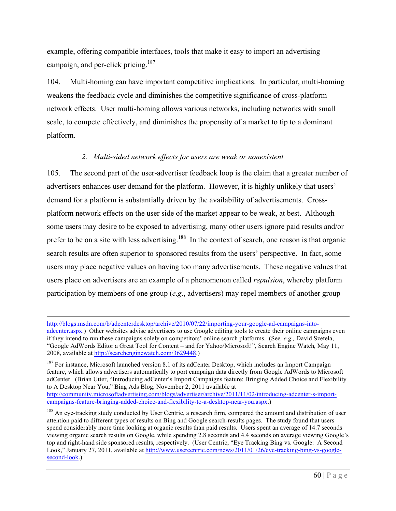example, offering compatible interfaces, tools that make it easy to import an advertising campaign, and per-click pricing.<sup>187</sup>

104. Multi-homing can have important competitive implications. In particular, multi-homing weakens the feedback cycle and diminishes the competitive significance of cross-platform network effects. User multi-homing allows various networks, including networks with small scale, to compete effectively, and diminishes the propensity of a market to tip to a dominant platform.

#### *2. Multi-sided network effects for users are weak or nonexistent*

105. The second part of the user-advertiser feedback loop is the claim that a greater number of advertisers enhances user demand for the platform. However, it is highly unlikely that users' demand for a platform is substantially driven by the availability of advertisements. Crossplatform network effects on the user side of the market appear to be weak, at best. Although some users may desire to be exposed to advertising, many other users ignore paid results and/or prefer to be on a site with less advertising.<sup>188</sup> In the context of search, one reason is that organic search results are often superior to sponsored results from the users' perspective. In fact, some users may place negative values on having too many advertisements. These negative values that users place on advertisers are an example of a phenomenon called *repulsion*, whereby platform participation by members of one group (*e.g*., advertisers) may repel members of another group

http://blogs.msdn.com/b/adcenterdesktop/archive/2010/07/22/importing-your-google-ad-campaigns-into-

 $\overline{a}$ 

adcenter.aspx.) Other websites advise advertisers to use Google editing tools to create their online campaigns even if they intend to run these campaigns solely on competitors' online search platforms. (See*, e.g.,* David Szetela, "Google AdWords Editor a Great Tool for Content – and for Yahoo/Microsoft!", Search Engine Watch*,* May 11, 2008, available at http://searchenginewatch.com/3629448.)

<sup>187</sup> For instance, Microsoft launched version 8.1 of its adCenter Desktop, which includes an Import Campaign feature, which allows advertisers automatically to port campaign data directly from Google AdWords to Microsoft adCenter. (Brian Utter, "Introducing adCenter's Import Campaigns feature: Bringing Added Choice and Flexibility to A Desktop Near You," Bing Ads Blog*,* November 2, 2011 available at

http://community.microsoftadvertising.com/blogs/advertiser/archive/2011/11/02/introducing-adcenter-s-importcampaigns-feature-bringing-added-choice-and-flexibility-to-a-desktop-near-you.aspx.)

<sup>188</sup> An eye-tracking study conducted by User Centric, a research firm, compared the amount and distribution of user attention paid to different types of results on Bing and Google search-results pages. The study found that users spend considerably more time looking at organic results than paid results. Users spent an average of 14.7 seconds viewing organic search results on Google, while spending 2.8 seconds and 4.4 seconds on average viewing Google's top and right-hand side sponsored results, respectively. (User Centric, "Eye Tracking Bing vs. Google: A Second Look," January 27, 2011, available at http://www.usercentric.com/news/2011/01/26/eye-tracking-bing-vs-googlesecond-look.)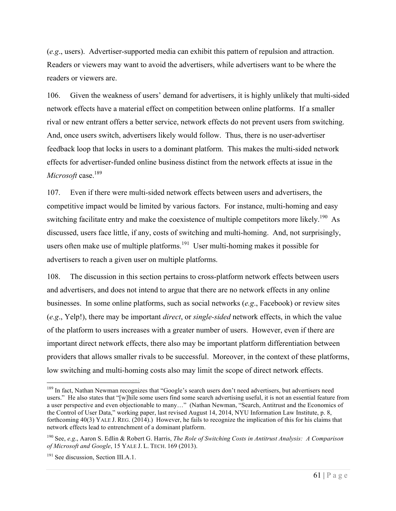(*e.g*., users). Advertiser-supported media can exhibit this pattern of repulsion and attraction. Readers or viewers may want to avoid the advertisers, while advertisers want to be where the readers or viewers are.

106. Given the weakness of users' demand for advertisers, it is highly unlikely that multi-sided network effects have a material effect on competition between online platforms. If a smaller rival or new entrant offers a better service, network effects do not prevent users from switching. And, once users switch, advertisers likely would follow. Thus, there is no user-advertiser feedback loop that locks in users to a dominant platform. This makes the multi-sided network effects for advertiser-funded online business distinct from the network effects at issue in the *Microsoft* case.<sup>189</sup>

107. Even if there were multi-sided network effects between users and advertisers, the competitive impact would be limited by various factors. For instance, multi-homing and easy switching facilitate entry and make the coexistence of multiple competitors more likely.<sup>190</sup> As discussed, users face little, if any, costs of switching and multi-homing. And, not surprisingly, users often make use of multiple platforms.<sup>191</sup> User multi-homing makes it possible for advertisers to reach a given user on multiple platforms.

108. The discussion in this section pertains to cross-platform network effects between users and advertisers, and does not intend to argue that there are no network effects in any online businesses. In some online platforms, such as social networks (*e.g*., Facebook) or review sites (*e.g*., Yelp!), there may be important *direct*, or *single-sided* network effects, in which the value of the platform to users increases with a greater number of users. However, even if there are important direct network effects, there also may be important platform differentiation between providers that allows smaller rivals to be successful. Moreover, in the context of these platforms, low switching and multi-homing costs also may limit the scope of direct network effects.

<sup>&</sup>lt;sup>189</sup> In fact, Nathan Newman recognizes that "Google's search users don't need advertisers, but advertisers need users." He also states that "[w]hile some users find some search advertising useful, it is not an essential feature from a user perspective and even objectionable to many…" (Nathan Newman, "Search, Antitrust and the Economics of the Control of User Data," working paper, last revised August 14, 2014, NYU Information Law Institute, p. 8, forthcoming 40(3) YALE J. REG. (2014).) However, he fails to recognize the implication of this for his claims that network effects lead to entrenchment of a dominant platform.

<sup>190</sup> See, *e.g*., Aaron S. Edlin & Robert G. Harris, *The Role of Switching Costs in Antitrust Analysis: A Comparison of Microsoft and Google*, 15 YALE J. L. TECH. 169 (2013).

<sup>&</sup>lt;sup>191</sup> See discussion, Section III.A.1.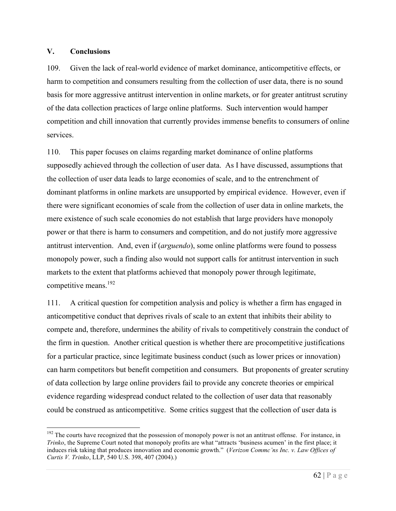#### **V. Conclusions**

109. Given the lack of real-world evidence of market dominance, anticompetitive effects, or harm to competition and consumers resulting from the collection of user data, there is no sound basis for more aggressive antitrust intervention in online markets, or for greater antitrust scrutiny of the data collection practices of large online platforms. Such intervention would hamper competition and chill innovation that currently provides immense benefits to consumers of online services.

110. This paper focuses on claims regarding market dominance of online platforms supposedly achieved through the collection of user data. As I have discussed, assumptions that the collection of user data leads to large economies of scale, and to the entrenchment of dominant platforms in online markets are unsupported by empirical evidence. However, even if there were significant economies of scale from the collection of user data in online markets, the mere existence of such scale economies do not establish that large providers have monopoly power or that there is harm to consumers and competition, and do not justify more aggressive antitrust intervention. And, even if (*arguendo*), some online platforms were found to possess monopoly power, such a finding also would not support calls for antitrust intervention in such markets to the extent that platforms achieved that monopoly power through legitimate, competitive means.<sup>192</sup>

111. A critical question for competition analysis and policy is whether a firm has engaged in anticompetitive conduct that deprives rivals of scale to an extent that inhibits their ability to compete and, therefore, undermines the ability of rivals to competitively constrain the conduct of the firm in question. Another critical question is whether there are procompetitive justifications for a particular practice, since legitimate business conduct (such as lower prices or innovation) can harm competitors but benefit competition and consumers. But proponents of greater scrutiny of data collection by large online providers fail to provide any concrete theories or empirical evidence regarding widespread conduct related to the collection of user data that reasonably could be construed as anticompetitive. Some critics suggest that the collection of user data is

<sup>&</sup>lt;sup>192</sup> The courts have recognized that the possession of monopoly power is not an antitrust offense. For instance, in *Trinko*, the Supreme Court noted that monopoly profits are what "attracts 'business acumen' in the first place; it induces risk taking that produces innovation and economic growth." (*Verizon Commc'ns Inc. v. Law Offices of Curtis V. Trinko*, LLP, 540 U.S. 398, 407 (2004).)